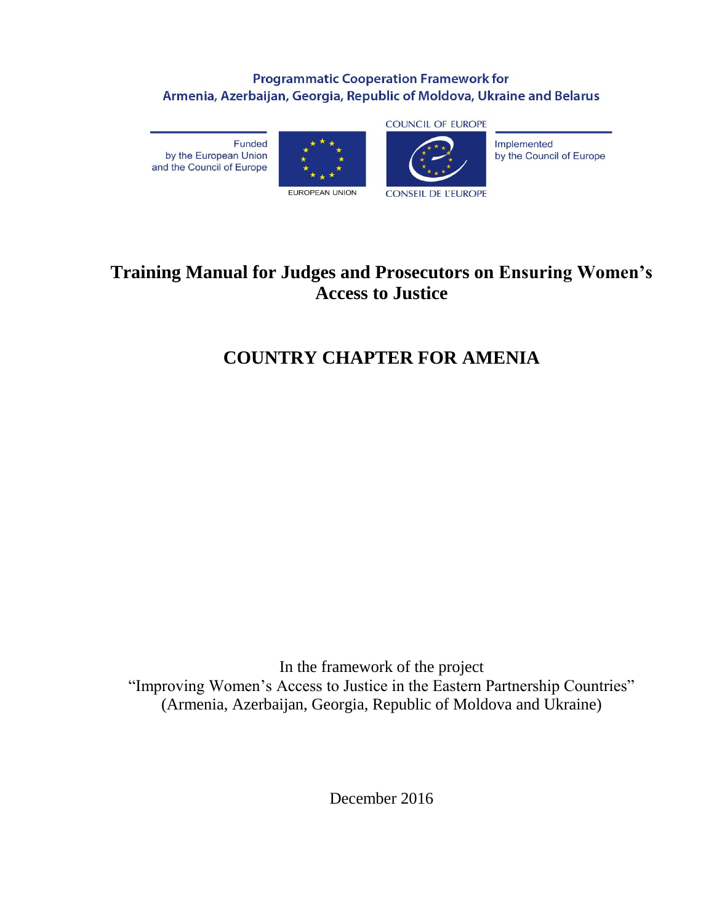### **Programmatic Cooperation Framework for** Armenia, Azerbaijan, Georgia, Republic of Moldova, Ukraine and Belarus

Funded by the European Union and the Council of Europe





**CONSEIL DE L'EUROPE** 



by the Council of Europe

## **Training Manual for Judges and Prosecutors on Ensuring Women's Access to Justice**

## **COUNTRY CHAPTER FOR AMENIA**

In the framework of the project "Improving Women's Access to Justice in the Eastern Partnership Countries" (Armenia, Azerbaijan, Georgia, Republic of Moldova and Ukraine)

December 2016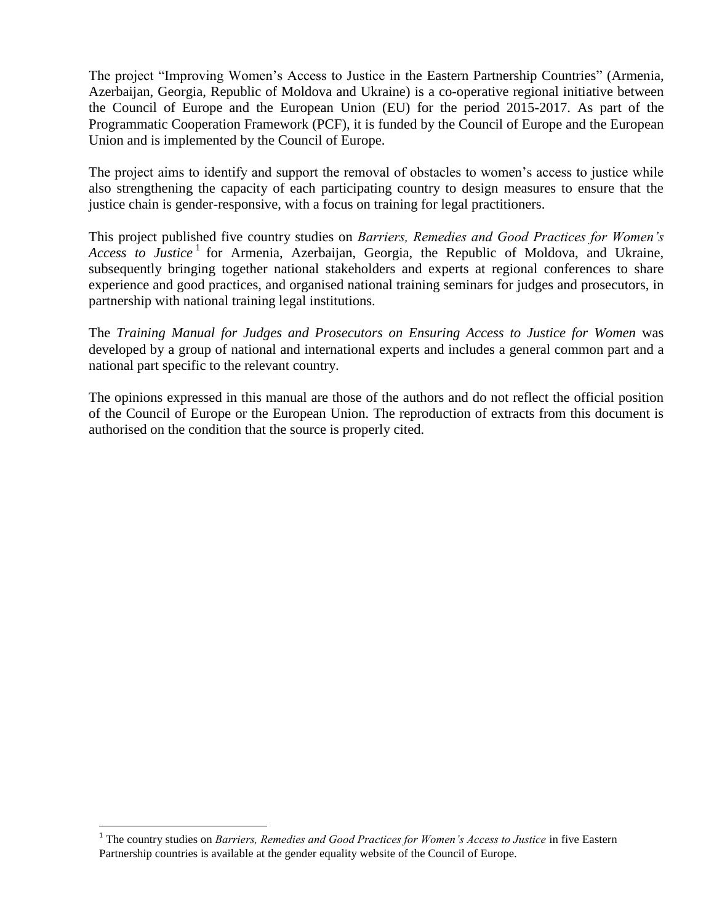The project "Improving Women's Access to Justice in the Eastern Partnership Countries" (Armenia, Azerbaijan, Georgia, Republic of Moldova and Ukraine) is a co-operative regional initiative between the Council of Europe and the European Union (EU) for the period 2015-2017. As part of the Programmatic Cooperation Framework (PCF), it is funded by the Council of Europe and the European Union and is implemented by the Council of Europe.

The project aims to identify and support the removal of obstacles to women's access to justice while also strengthening the capacity of each participating country to design measures to ensure that the justice chain is gender-responsive, with a focus on training for legal practitioners.

This project published five country studies on *Barriers, Remedies and Good Practices for Women's*  Access to Justice<sup>1</sup> for Armenia, Azerbaijan, Georgia, the Republic of Moldova, and Ukraine, subsequently bringing together national stakeholders and experts at regional conferences to share experience and good practices, and organised national training seminars for judges and prosecutors, in partnership with national training legal institutions.

The *Training Manual for Judges and Prosecutors on Ensuring Access to Justice for Women* was developed by a group of national and international experts and includes a general common part and a national part specific to the relevant country.

The opinions expressed in this manual are those of the authors and do not reflect the official position of the Council of Europe or the European Union. The reproduction of extracts from this document is authorised on the condition that the source is properly cited.

 $\ddot{\phantom{a}}$ 

<sup>&</sup>lt;sup>1</sup> The country studies on *Barriers, Remedies and Good Practices for Women's Access to Justice* in five Eastern Partnership countries is available at the gender equality website of the Council of Europe.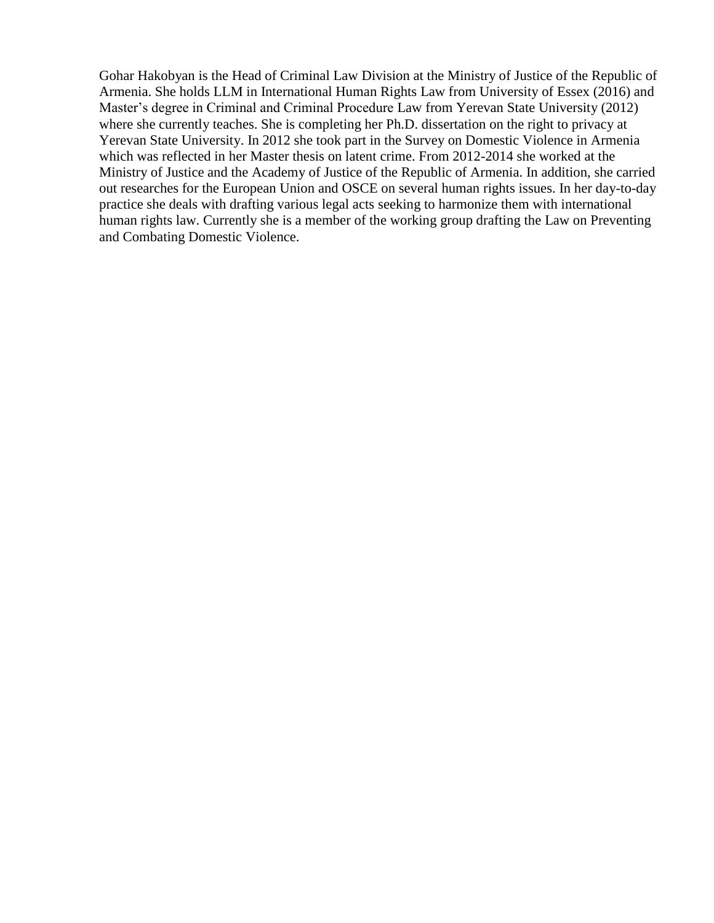Gohar Hakobyan is the Head of Criminal Law Division at the Ministry of Justice of the Republic of Armenia. She holds LLM in International Human Rights Law from University of Essex (2016) and Master's degree in Criminal and Criminal Procedure Law from Yerevan State University (2012) where she currently teaches. She is completing her Ph.D. dissertation on the right to privacy at Yerevan State University. In 2012 she took part in the Survey on Domestic Violence in Armenia which was reflected in her Master thesis on latent crime. From 2012-2014 she worked at the Ministry of Justice and the Academy of Justice of the Republic of Armenia. In addition, she carried out researches for the European Union and OSCE on several human rights issues. In her day-to-day practice she deals with drafting various legal acts seeking to harmonize them with international human rights law. Currently she is a member of the working group drafting the Law on Preventing and Combating Domestic Violence.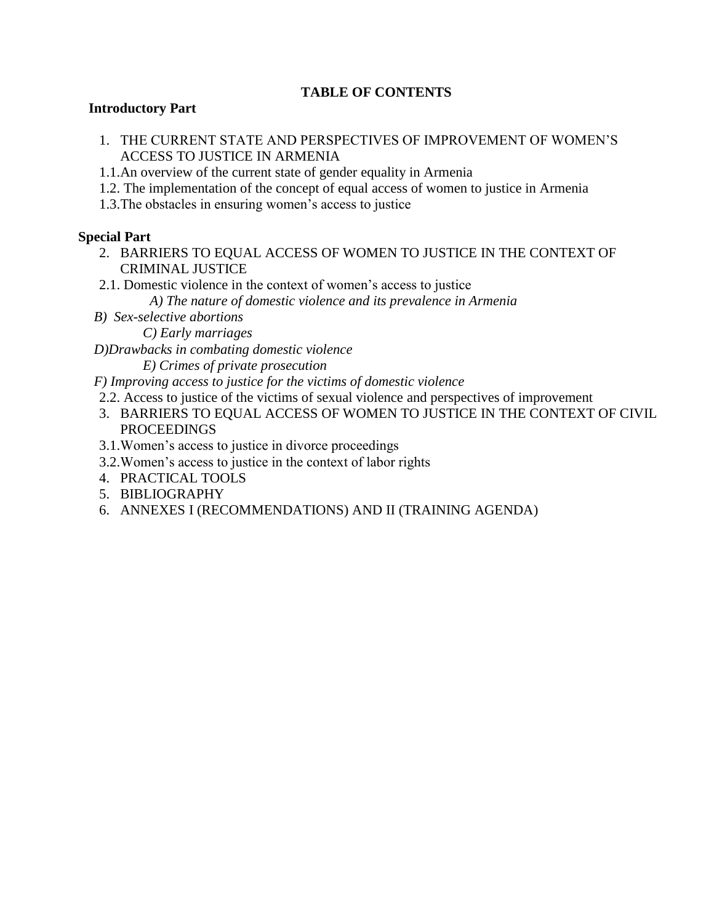#### **TABLE OF CONTENTS**

#### **Introductory Part**

- 1. THE CURRENT STATE AND PERSPECTIVES OF IMPROVEMENT OF WOMEN'S ACCESS TO JUSTICE IN ARMENIA
- 1.1.An overview of the current state of gender equality in Armenia
- 1.2. The implementation of the concept of equal access of women to justice in Armenia
- 1.3.The obstacles in ensuring women's access to justice

#### **Special Part**

- 2. BARRIERS TO EQUAL ACCESS OF WOMEN TO JUSTICE IN THE CONTEXT OF CRIMINAL JUSTICE
- 2.1. Domestic violence in the context of women's access to justice

 *A) The nature of domestic violence and its prevalence in Armenia* 

*B) Sex-selective abortions*

 *C) Early marriages*

*D)Drawbacks in combating domestic violence* 

 *E) Crimes of private prosecution*

- *F) Improving access to justice for the victims of domestic violence*
- 2.2. Access to justice of the victims of sexual violence and perspectives of improvement
- 3. BARRIERS TO EQUAL ACCESS OF WOMEN TO JUSTICE IN THE CONTEXT OF CIVIL PROCEEDINGS
- 3.1.Women's access to justice in divorce proceedings
- 3.2.Women's access to justice in the context of labor rights
- 4. PRACTICAL TOOLS
- 5. BIBLIOGRAPHY
- 6. ANNEXES I (RECOMMENDATIONS) AND II (TRAINING AGENDA)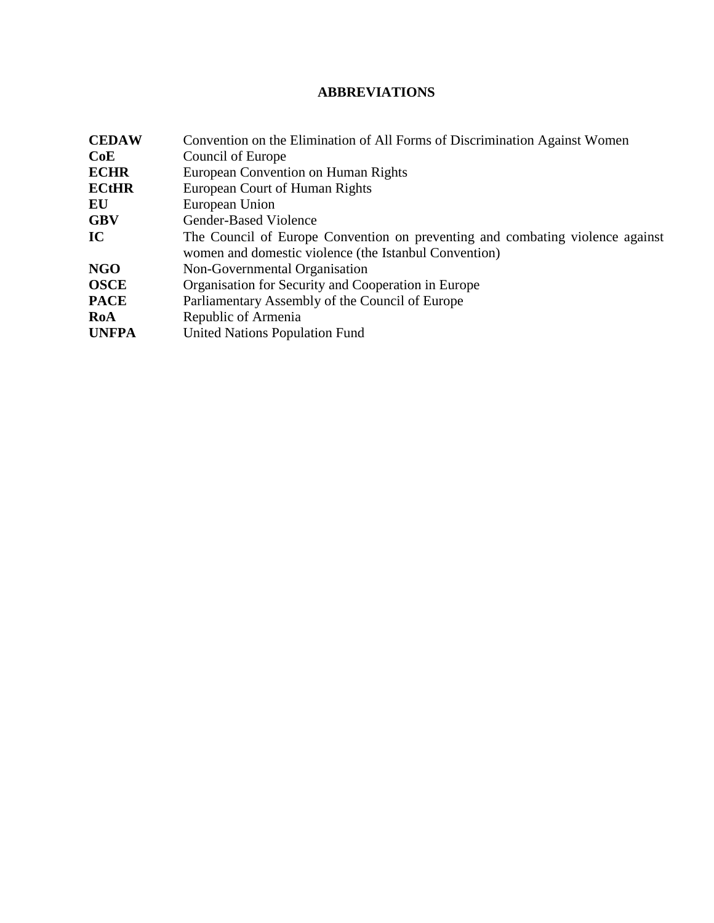## **ABBREVIATIONS**

| <b>CEDAW</b> | Convention on the Elimination of All Forms of Discrimination Against Women                                                             |
|--------------|----------------------------------------------------------------------------------------------------------------------------------------|
| CoE          | Council of Europe                                                                                                                      |
| <b>ECHR</b>  | European Convention on Human Rights                                                                                                    |
| <b>ECtHR</b> | European Court of Human Rights                                                                                                         |
| EU           | European Union                                                                                                                         |
| <b>GBV</b>   | <b>Gender-Based Violence</b>                                                                                                           |
| IC           | The Council of Europe Convention on preventing and combating violence against<br>women and domestic violence (the Istanbul Convention) |
| <b>NGO</b>   | Non-Governmental Organisation                                                                                                          |
| <b>OSCE</b>  | Organisation for Security and Cooperation in Europe                                                                                    |
| <b>PACE</b>  | Parliamentary Assembly of the Council of Europe                                                                                        |
| RoA          | Republic of Armenia                                                                                                                    |
| <b>UNFPA</b> | <b>United Nations Population Fund</b>                                                                                                  |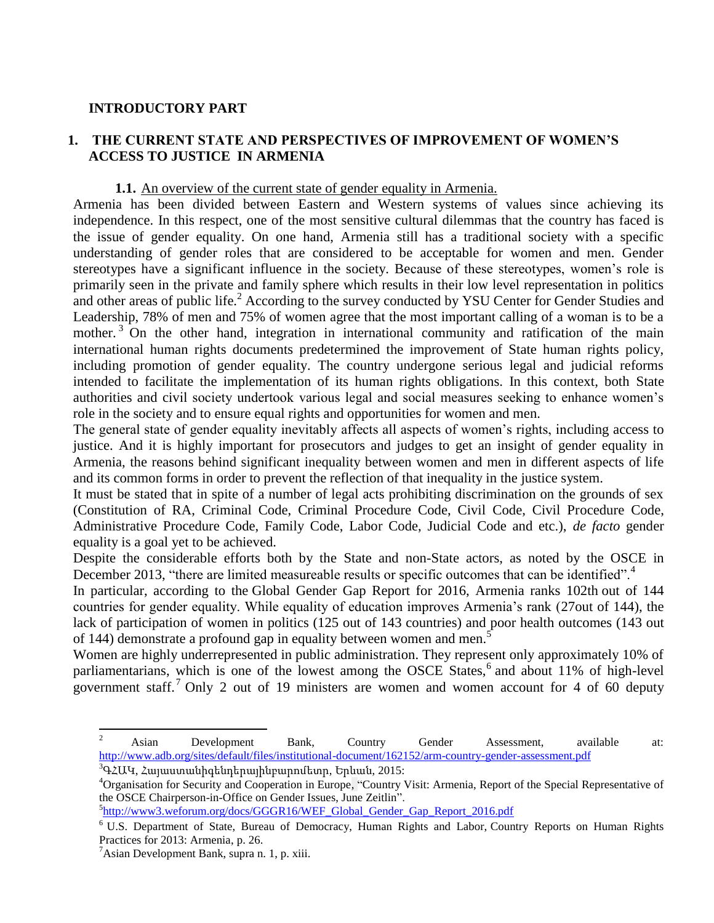#### **INTRODUCTORY PART**

#### **1. THE CURRENT STATE AND PERSPECTIVES OF IMPROVEMENT OF WOMEN'S ACCESS TO JUSTICE IN ARMENIA**

#### **1.1.** An overview of the current state of gender equality in Armenia.

Armenia has been divided between Eastern and Western systems of values since achieving its independence. In this respect, one of the most sensitive cultural dilemmas that the country has faced is the issue of gender equality. On one hand, Armenia still has a traditional society with a specific understanding of gender roles that are considered to be acceptable for women and men. Gender stereotypes have a significant influence in the society. Because of these stereotypes, women's role is primarily seen in the private and family sphere which results in their low level representation in politics and other areas of public life.<sup>2</sup> According to the survey conducted by YSU Center for Gender Studies and Leadership, 78% of men and 75% of women agree that the most important calling of a woman is to be a mother.<sup>3</sup> On the other hand, integration in international community and ratification of the main international human rights documents predetermined the improvement of State human rights policy, including promotion of gender equality. The country undergone serious legal and judicial reforms intended to facilitate the implementation of its human rights obligations. In this context, both State authorities and civil society undertook various legal and social measures seeking to enhance women's role in the society and to ensure equal rights and opportunities for women and men.

The general state of gender equality inevitably affects all aspects of women's rights, including access to justice. And it is highly important for prosecutors and judges to get an insight of gender equality in Armenia, the reasons behind significant inequality between women and men in different aspects of life and its common forms in order to prevent the reflection of that inequality in the justice system.

It must be stated that in spite of a number of legal acts prohibiting discrimination on the grounds of sex (Constitution of RA, Criminal Code, Criminal Procedure Code, Civil Code, Civil Procedure Code, Administrative Procedure Code, Family Code, Labor Code, Judicial Code and etc.), *de facto* gender equality is a goal yet to be achieved.

Despite the considerable efforts both by the State and non-State actors, as noted by the OSCE in December 2013, "there are limited measureable results or specific outcomes that can be identified".<sup>4</sup>

In particular, according to the [Global Gender Gap Report for 2016,](http://www3.weforum.org/docs/WEF_GenderGap_Report_2013.pdf) Armenia ranks 102th out of 144 countries for gender equality. While equality of education improves Armenia's rank (27out of 144), the lack of participation of women in politics (125 out of 143 countries) and poor health outcomes (143 out of 144) demonstrate a profound gap in equality between women and men.<sup>5</sup>

Women are highly underrepresented in public administration. They represent only approximately 10% of parliamentarians, which is one of the lowest among the OSCE States,<sup>6</sup> and about 11% of high-level government staff.<sup>7</sup> Only 2 out of 19 ministers are women and women account for 4 of 60 deputy

 $\ddot{\phantom{a}}$ 

 $2^2$  Asian Development Bank, Country Gender Assessment, available at: <http://www.adb.org/sites/default/files/institutional-document/162152/arm-country-gender-assessment.pdf>

 $3$ ԳՀԱԿ, Հայաստանիգենդերայինբարոմետր, Երևան, 2015:

<sup>4</sup>Organisation for Security and Cooperation in Europe, ["Country Visit: Armenia, Report of the Special Representative of](http://www.osce.org/cio/110334?download=true)  [the OSCE Chairperson-in-Office on Gender Issues, June Zeitlin"](http://www.osce.org/cio/110334?download=true).

<sup>&</sup>lt;sup>5</sup>[http://www3.weforum.org/docs/GGGR16/WEF\\_Global\\_Gender\\_Gap\\_Report\\_2016.pdf](http://www3.weforum.org/docs/GGGR16/WEF_Global_Gender_Gap_Report_2016.pdf)

<sup>6</sup> U.S. Department of State, Bureau of Democracy, Human Rights and Labor, [Country Reports on Human Rights](http://www.state.gov/documents/organization/220461.pdf)  [Practices for 2013: Armenia,](http://www.state.gov/documents/organization/220461.pdf) p. 26.

 $\alpha$ <sup>7</sup>Asian Development Bank, supra n. 1, p. xiii.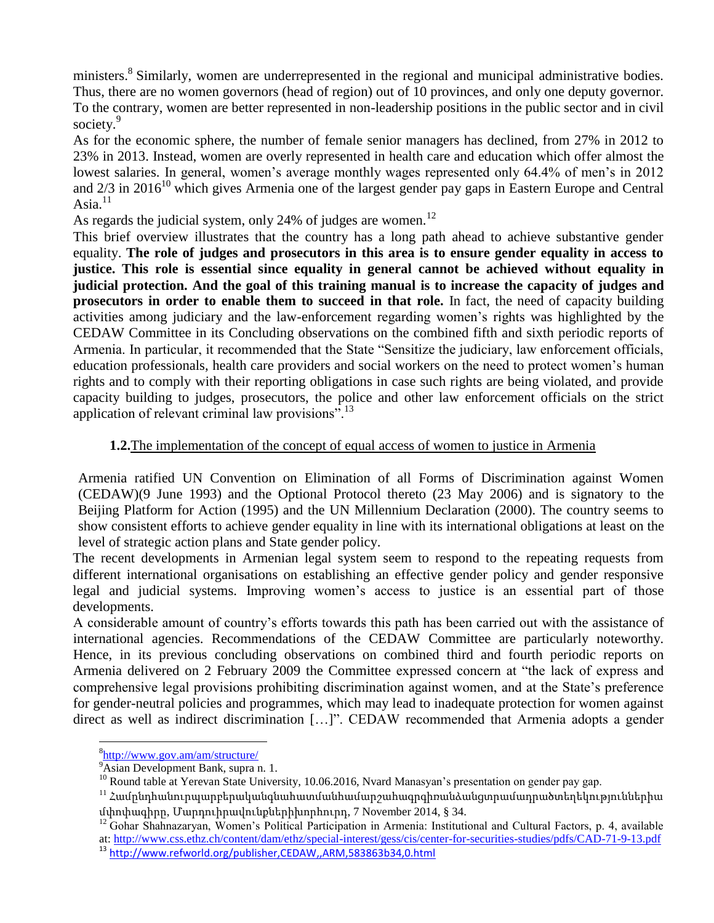ministers.<sup>8</sup> Similarly, women are underrepresented in the regional and municipal administrative bodies. Thus, there are no women governors (head of region) out of 10 provinces, and only one deputy governor. To the contrary, women are better represented in non-leadership positions in the public sector and in civil society.<sup>9</sup>

As for the economic sphere, the number of female senior managers has declined, from 27% in 2012 to 23% in 2013. Instead, women are overly represented in health care and education which offer almost the lowest salaries. In general, women's average monthly wages represented only 64.4% of men's in 2012 and  $2/3$  in  $2016^{10}$  which gives Armenia one of the largest gender pay gaps in Eastern Europe and Central Asia. $11$ 

As regards the judicial system, only 24% of judges are women.<sup>12</sup>

This brief overview illustrates that the country has a long path ahead to achieve substantive gender equality. **The role of judges and prosecutors in this area is to ensure gender equality in access to justice. This role is essential since equality in general cannot be achieved without equality in judicial protection. And the goal of this training manual is to increase the capacity of judges and prosecutors in order to enable them to succeed in that role.** In fact, the need of capacity building activities among judiciary and the law-enforcement regarding women's rights was highlighted by the CEDAW Committee in its Concluding observations on the combined fifth and sixth periodic reports of Armenia. In particular, it recommended that the State "Sensitize the judiciary, law enforcement officials, education professionals, health care providers and social workers on the need to protect women's human rights and to comply with their reporting obligations in case such rights are being violated, and provide capacity building to judges, prosecutors, the police and other law enforcement officials on the strict application of relevant criminal law provisions".<sup>13</sup>

#### **1.2.**The implementation of the concept of equal access of women to justice in Armenia

Armenia ratified UN Convention on Elimination of all Forms of Discrimination against Women (CEDAW)(9 June 1993) and the Optional Protocol thereto (23 May 2006) and is signatory to the Beijing Platform for Action (1995) and the UN Millennium Declaration (2000). The country seems to show consistent efforts to achieve gender equality in line with its international obligations at least on the level of strategic action plans and State gender policy.

The recent developments in Armenian legal system seem to respond to the repeating requests from different international organisations on establishing an effective gender policy and gender responsive legal and judicial systems. Improving women's access to justice is an essential part of those developments.

A considerable amount of country's efforts towards this path has been carried out with the assistance of international agencies. Recommendations of the CEDAW Committee are particularly noteworthy. Hence, in its previous concluding observations on combined third and fourth periodic reports on Armenia delivered on 2 February 2009 the Committee expressed concern at "the lack of express and comprehensive legal provisions prohibiting discrimination against women, and at the State's preference for gender-neutral policies and programmes, which may lead to inadequate protection for women against direct as well as indirect discrimination […]". CEDAW recommended that Armenia adopts a gender

<sup>8</sup> <http://www.gov.am/am/structure/>

 $9\overline{\text{hsian}}$  Development Bank, supra n. 1.

<sup>&</sup>lt;sup>10</sup> Round table at Yerevan State University, 10.06.2016, Nvard Manasyan's presentation on gender pay gap.

 $^{11}$  Համընդհանուրպարբերականգնահատմանհամարշահագրգիռանձանցտրամադրածտեղեկություններիա մփոփագիրը, Մարդուիրավունքներիխորհուրդ, 7 November 2014, § 34.

<sup>&</sup>lt;sup>12</sup> Gohar Shahnazaryan, Women's Political Participation in Armenia: Institutional and Cultural Factors, p. 4, available at[: http://www.css.ethz.ch/content/dam/ethz/special-interest/gess/cis/center-for-securities-studies/pdfs/CAD-71-9-13.pdf](http://www.css.ethz.ch/content/dam/ethz/special-interest/gess/cis/center-for-securities-studies/pdfs/CAD-71-9-13.pdf)

<sup>13</sup> <http://www.refworld.org/publisher,CEDAW,,ARM,583863b34,0.html>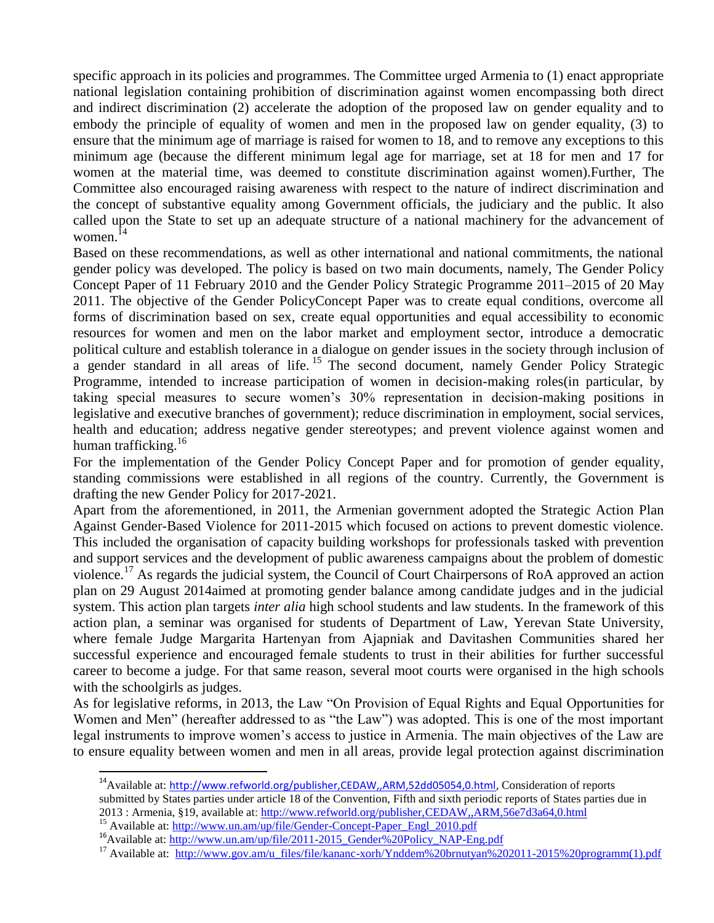specific approach in its policies and programmes. The Committee urged Armenia to (1) enact appropriate national legislation containing prohibition of discrimination against women encompassing both direct and indirect discrimination (2) accelerate the adoption of the proposed law on gender equality and to embody the principle of equality of women and men in the proposed law on gender equality, (3) to ensure that the minimum age of marriage is raised for women to 18, and to remove any exceptions to this minimum age (because the different minimum legal age for marriage, set at 18 for men and 17 for women at the material time, was deemed to constitute discrimination against women).Further, The Committee also encouraged raising awareness with respect to the nature of indirect discrimination and the concept of substantive equality among Government officials, the judiciary and the public. It also called upon the State to set up an adequate structure of a national machinery for the advancement of women. $^{14}$ 

Based on these recommendations, as well as other international and national commitments, the national gender policy was developed. The policy is based on two main documents, namely, The Gender Policy Concept Paper of 11 February 2010 and the Gender Policy Strategic Programme 2011–2015 of 20 May 2011. The objective of the Gender PolicyConcept Paper was to create equal conditions, overcome all forms of discrimination based on sex, create equal opportunities and equal accessibility to economic resources for women and men on the labor market and employment sector, introduce a democratic political culture and establish tolerance in a dialogue on gender issues in the society through inclusion of a gender standard in all areas of life.  $15$  The second document, namely Gender Policy Strategic Programme, intended to increase participation of women in decision-making roles(in particular, by taking special measures to secure women's 30% representation in decision-making positions in legislative and executive branches of government); reduce discrimination in employment, social services, health and education; address negative gender stereotypes; and prevent violence against women and human trafficking.<sup>16</sup>

For the implementation of the Gender Policy Concept Paper and for promotion of gender equality, standing commissions were established in all regions of the country. Currently, the Government is drafting the new Gender Policy for 2017-2021.

Apart from the aforementioned, in 2011, the Armenian government adopted the Strategic Action Plan Against Gender-Based Violence for 2011-2015 which focused on actions to prevent domestic violence. This included the organisation of capacity building workshops for professionals tasked with prevention and support services and the development of public awareness campaigns about the problem of domestic violence.<sup>17</sup> As regards the judicial system, the Council of Court Chairpersons of RoA approved an action plan on 29 August 2014aimed at promoting gender balance among candidate judges and in the judicial system. This action plan targets *inter alia* high school students and law students. In the framework of this action plan, a seminar was organised for students of Department of Law, Yerevan State University, where female Judge Margarita Hartenyan from Ajapniak and Davitashen Communities shared her successful experience and encouraged female students to trust in their abilities for further successful career to become a judge. For that same reason, several moot courts were organised in the high schools with the schoolgirls as judges.

As for legislative reforms, in 2013, the Law "On Provision of Equal Rights and Equal Opportunities for Women and Men" (hereafter addressed to as "the Law") was adopted. This is one of the most important legal instruments to improve women's access to justice in Armenia. The main objectives of the Law are to ensure equality between women and men in all areas, provide legal protection against discrimination

<sup>&</sup>lt;sup>14</sup>Available at: http://www.refworld.org/publisher.CEDAW.,ARM.52dd05054.0.html, Consideration of reports submitted by States parties under article 18 of the Convention, Fifth and sixth periodic reports of States parties due in 2013 : Armenia, §19, available at: <http://www.refworld.org/publisher,CEDAW,,ARM,56e7d3a64,0.html>

<sup>&</sup>lt;sup>15</sup> Available at: [http://www.un.am/up/file/Gender-Concept-Paper\\_Engl\\_2010.pdf](http://www.un.am/up/file/Gender-Concept-Paper_Engl_2010.pdf)

<sup>&</sup>lt;sup>16</sup>Available at: [http://www.un.am/up/file/2011-2015\\_Gender%20Policy\\_NAP-Eng.pdf](http://www.un.am/up/file/2011-2015_Gender%20Policy_NAP-Eng.pdf)

<sup>&</sup>lt;sup>17</sup> Available at: [http://www.gov.am/u\\_files/file/kananc-xorh/Ynddem%20brnutyan%202011-2015%20programm\(1\).pdf](http://www.gov.am/u_files/file/kananc-xorh/Ynddem%20brnutyan%202011-2015%20programm(1).pdf)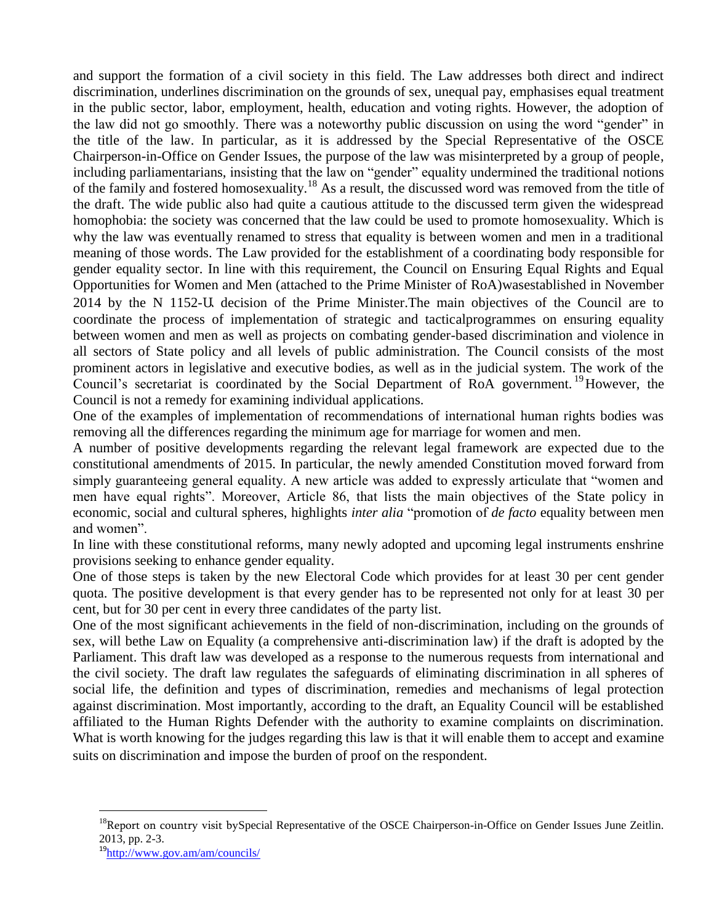and support the formation of a civil society in this field. The Law addresses both direct and indirect discrimination, underlines discrimination on the grounds of sex, unequal pay, emphasises equal treatment in the public sector, labor, employment, health, education and voting rights. However, the adoption of the law did not go smoothly. There was a noteworthy public discussion on using the word "gender" in the title of the law. In particular, as it is addressed by the Special Representative of the OSCE Chairperson-in-Office on Gender Issues, the purpose of the law was misinterpreted by a group of people, including parliamentarians, insisting that the law on "gender" equality undermined the traditional notions of the family and fostered homosexuality.<sup>18</sup> As a result, the discussed word was removed from the title of the draft. The wide public also had quite a cautious attitude to the discussed term given the widespread homophobia: the society was concerned that the law could be used to promote homosexuality. Which is why the law was eventually renamed to stress that equality is between women and men in a traditional meaning of those words. The Law provided for the establishment of a coordinating body responsible for gender equality sector. In line with this requirement, the Council on Ensuring Equal Rights and Equal Opportunities for Women and Men (attached to the Prime Minister of RoA)wasestablished in November 2014 by the N 1152-Ա decision of the Prime Minister.The main objectives of the Council are to coordinate the process of implementation of strategic and tacticalprogrammes on ensuring equality between women and men as well as projects on combating gender-based discrimination and violence in all sectors of State policy and all levels of public administration. The Council consists of the most prominent actors in legislative and executive bodies, as well as in the judicial system. The work of the Council's secretariat is coordinated by the Social Department of RoA government.<sup>19</sup>However, the Council is not a remedy for examining individual applications.

One of the examples of implementation of recommendations of international human rights bodies was removing all the differences regarding the minimum age for marriage for women and men.

A number of positive developments regarding the relevant legal framework are expected due to the constitutional amendments of 2015. In particular, the newly amended Constitution moved forward from simply guaranteeing general equality. A new article was added to expressly articulate that "women and men have equal rights". Moreover, Article 86, that lists the main objectives of the State policy in economic, social and cultural spheres, highlights *inter alia* "promotion of *de facto* equality between men and women".

In line with these constitutional reforms, many newly adopted and upcoming legal instruments enshrine provisions seeking to enhance gender equality.

One of those steps is taken by the new Electoral Code which provides for at least 30 per cent gender quota. The positive development is that every gender has to be represented not only for at least 30 per cent, but for 30 per cent in every three candidates of the party list.

One of the most significant achievements in the field of non-discrimination, including on the grounds of sex, will bethe Law on Equality (a comprehensive anti-discrimination law) if the draft is adopted by the Parliament. This draft law was developed as a response to the numerous requests from international and the civil society. The draft law regulates the safeguards of eliminating discrimination in all spheres of social life, the definition and types of discrimination, remedies and mechanisms of legal protection against discrimination. Most importantly, according to the draft, an Equality Council will be established affiliated to the Human Rights Defender with the authority to examine complaints on discrimination. What is worth knowing for the judges regarding this law is that it will enable them to accept and examine suits on discrimination and impose the burden of proof on the respondent.

 $\ddot{\phantom{a}}$ 

<sup>&</sup>lt;sup>18</sup>Report on country visit bySpecial Representative of the OSCE Chairperson-in-Office on Gender Issues June Zeitlin. 2013, pp. 2-3.

<sup>&</sup>lt;sup>19</sup><http://www.gov.am/am/councils/>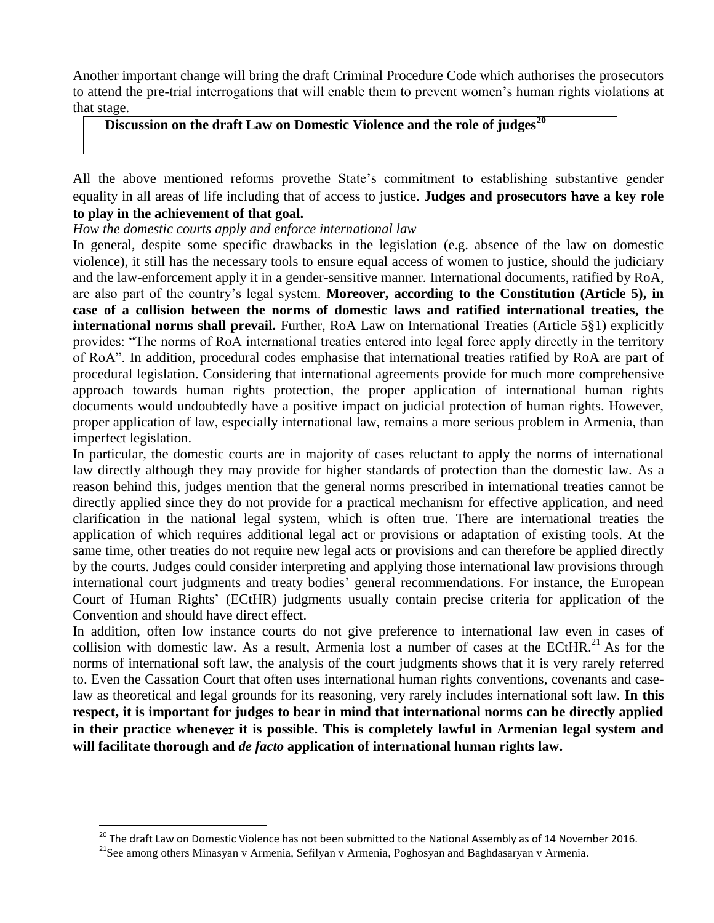Another important change will bring the draft Criminal Procedure Code which authorises the prosecutors to attend the pre-trial interrogations that will enable them to prevent women's human rights violations at that stage.

## **Discussion on the draft Law on Domestic Violence and the role of judges<sup>20</sup>**

All the above mentioned reforms provethe State's commitment to establishing substantive gender equality in all areas of life including that of access to justice. **Judges and prosecutors** have **a key role to play in the achievement of that goal.** 

*How the domestic courts apply and enforce international law* 

In general, despite some specific drawbacks in the legislation (e.g. absence of the law on domestic violence), it still has the necessary tools to ensure equal access of women to justice, should the judiciary and the law-enforcement apply it in a gender-sensitive manner. International documents, ratified by RoA, are also part of the country's legal system. **Moreover, according to the Constitution (Article 5), in case of a collision between the norms of domestic laws and ratified international treaties, the international norms shall prevail.** Further, RoA Law on International Treaties (Article 5§1) explicitly provides: "The norms of RoA international treaties entered into legal force apply directly in the territory of RoA". In addition, procedural codes emphasise that international treaties ratified by RoA are part of procedural legislation. Considering that international agreements provide for much more comprehensive approach towards human rights protection, the proper application of international human rights documents would undoubtedly have a positive impact on judicial protection of human rights. However, proper application of law, especially international law, remains a more serious problem in Armenia, than imperfect legislation.

In particular, the domestic courts are in majority of cases reluctant to apply the norms of international law directly although they may provide for higher standards of protection than the domestic law. As a reason behind this, judges mention that the general norms prescribed in international treaties cannot be directly applied since they do not provide for a practical mechanism for effective application, and need clarification in the national legal system, which is often true. There are international treaties the application of which requires additional legal act or provisions or adaptation of existing tools. At the same time, other treaties do not require new legal acts or provisions and can therefore be applied directly by the courts. Judges could consider interpreting and applying those international law provisions through international court judgments and treaty bodies' general recommendations. For instance, the European Court of Human Rights' (ECtHR) judgments usually contain precise criteria for application of the Convention and should have direct effect.

In addition, often low instance courts do not give preference to international law even in cases of collision with domestic law. As a result, Armenia lost a number of cases at the ECtHR.<sup>21</sup> As for the norms of international soft law, the analysis of the court judgments shows that it is very rarely referred to. Even the Cassation Court that often uses international human rights conventions, covenants and caselaw as theoretical and legal grounds for its reasoning, very rarely includes international soft law. **In this respect, it is important for judges to bear in mind that international norms can be directly applied in their practice when**ever **it is possible. This is completely lawful in Armenian legal system and will facilitate thorough and** *de facto* **application of international human rights law.**

<sup>&</sup>lt;sup>20</sup> The draft Law on Domestic Violence has not been submitted to the National Assembly as of 14 November 2016.

<sup>&</sup>lt;sup>21</sup>See among others Minasyan v Armenia, Sefilyan v Armenia, Poghosyan and Baghdasaryan v Armenia.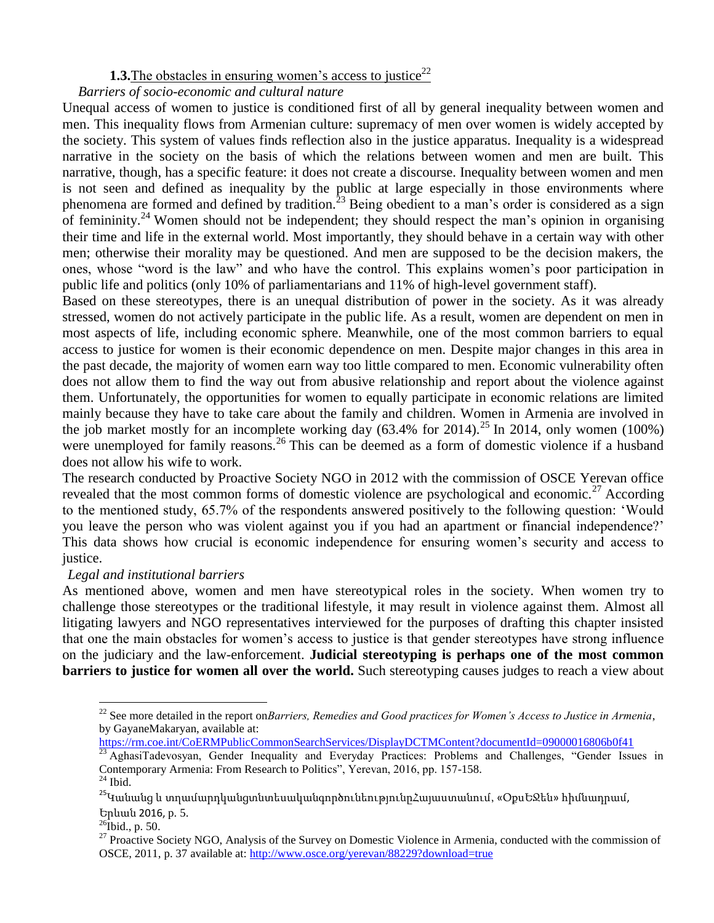#### **1.3.** The obstacles in ensuring women's access to justice<sup>22</sup>

#### *Barriers of socio-economic and cultural nature*

Unequal access of women to justice is conditioned first of all by general inequality between women and men. This inequality flows from Armenian culture: supremacy of men over women is widely accepted by the society. This system of values finds reflection also in the justice apparatus. Inequality is a widespread narrative in the society on the basis of which the relations between women and men are built. This narrative, though, has a specific feature: it does not create a discourse. Inequality between women and men is not seen and defined as inequality by the public at large especially in those environments where phenomena are formed and defined by tradition.<sup>23</sup> Being obedient to a man's order is considered as a sign of femininity.<sup>24</sup> Women should not be independent; they should respect the man's opinion in organising their time and life in the external world. Most importantly, they should behave in a certain way with other men; otherwise their morality may be questioned. And men are supposed to be the decision makers, the ones, whose "word is the law" and who have the control. This explains women's poor participation in public life and politics (only 10% of parliamentarians and 11% of high-level government staff).

Based on these stereotypes, there is an unequal distribution of power in the society. As it was already stressed, women do not actively participate in the public life. As a result, women are dependent on men in most aspects of life, including economic sphere. Meanwhile, one of the most common barriers to equal access to justice for women is their economic dependence on men. Despite major changes in this area in the past decade, the majority of women earn way too little compared to men. Economic vulnerability often does not allow them to find the way out from abusive relationship and report about the violence against them. Unfortunately, the opportunities for women to equally participate in economic relations are limited mainly because they have to take care about the family and children. Women in Armenia are involved in the job market mostly for an incomplete working day  $(63.4\% \text{ for } 2014)$ .<sup>25</sup> In 2014, only women (100%) were unemployed for family reasons.<sup>26</sup> This can be deemed as a form of domestic violence if a husband does not allow his wife to work.

The research conducted by Proactive Society NGO in 2012 with the commission of OSCE Yerevan office revealed that the most common forms of domestic violence are psychological and economic.<sup>27</sup> According to the mentioned study, 65.7% of the respondents answered positively to the following question: 'Would you leave the person who was violent against you if you had an apartment or financial independence?' This data shows how crucial is economic independence for ensuring women's security and access to justice.

#### *Legal and institutional barriers*

As mentioned above, women and men have stereotypical roles in the society. When women try to challenge those stereotypes or the traditional lifestyle, it may result in violence against them. Almost all litigating lawyers and NGO representatives interviewed for the purposes of drafting this chapter insisted that one the main obstacles for women's access to justice is that gender stereotypes have strong influence on the judiciary and the law-enforcement. **Judicial stereotyping is perhaps one of the most common barriers to justice for women all over the world.** Such stereotyping causes judges to reach a view about

 $\ddot{\phantom{a}}$ 

 $^{22}$  See more detailed in the report on*Barriers, Remedies and Good practices for Women's Access to Justice in Armenia*, by GayaneMakaryan, available at:

<https://rm.coe.int/CoERMPublicCommonSearchServices/DisplayDCTMContent?documentId=09000016806b0f41>

<sup>&</sup>lt;sup>23</sup> AghasiTadevosyan, Gender Inequality and Everyday Practices: Problems and Challenges, "Gender Issues in Contemporary Armenia: From Research to Politics", Yerevan, 2016, pp. 157-158.

 $^\mathrm{24}$  Ibid.

<sup>&</sup>lt;sup>25</sup>Կանանց և տղամարդկանցտնտեսականգործունեությունըՀայաստանում, «ՕքսԵՋեն» հիմնադրամ, Երևան 2016, p. 5.

 $^{26}$ Ibid., p. 50.

<sup>&</sup>lt;sup>27</sup> Proactive Society NGO, Analysis of the Survey on Domestic Violence in Armenia, conducted with the commission of OSCE, 2011, p. 37 available at:<http://www.osce.org/yerevan/88229?download=true>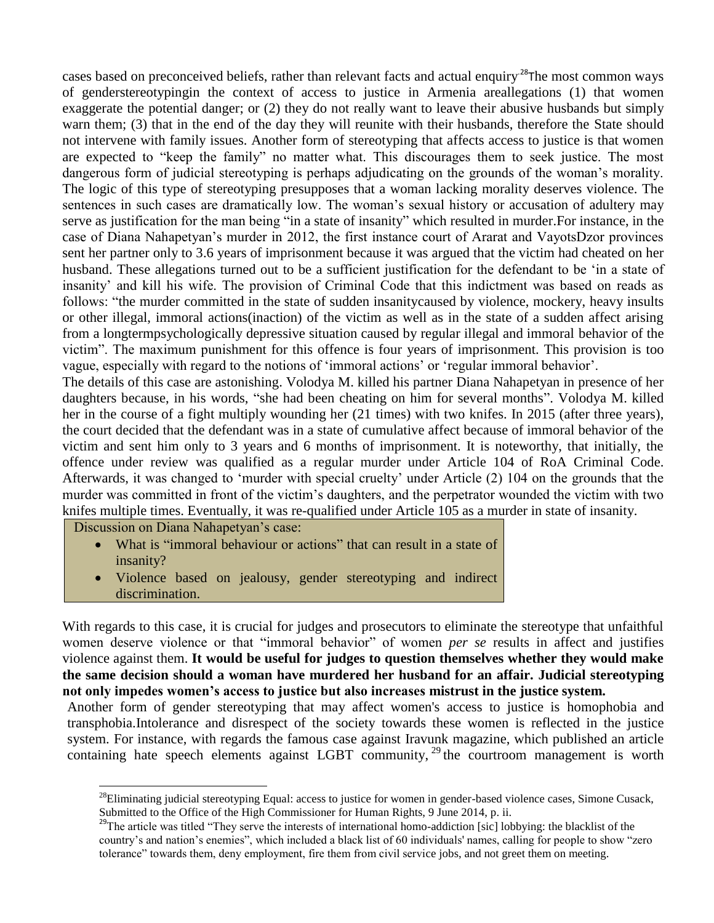cases based on preconceived beliefs, rather than relevant facts and actual enquiry.<sup>28</sup>The most common ways of genderstereotypingin the context of access to justice in Armenia areallegations (1) that women exaggerate the potential danger; or (2) they do not really want to leave their abusive husbands but simply warn them; (3) that in the end of the day they will reunite with their husbands, therefore the State should not intervene with family issues. Another form of stereotyping that affects access to justice is that women are expected to "keep the family" no matter what. This discourages them to seek justice. The most dangerous form of judicial stereotyping is perhaps adjudicating on the grounds of the woman's morality. The logic of this type of stereotyping presupposes that a woman lacking morality deserves violence. The sentences in such cases are dramatically low. The woman's sexual history or accusation of adultery may serve as justification for the man being "in a state of insanity" which resulted in murder.For instance, in the case of Diana Nahapetyan's murder in 2012, the first instance court of Ararat and VayotsDzor provinces sent her partner only to 3.6 years of imprisonment because it was argued that the victim had cheated on her husband. These allegations turned out to be a sufficient justification for the defendant to be 'in a state of insanity' and kill his wife. The provision of Criminal Code that this indictment was based on reads as follows: "the murder committed in the state of sudden insanitycaused by violence, mockery, heavy insults or other illegal, immoral actions(inaction) of the victim as well as in the state of a sudden affect arising from a longtermpsychologically depressive situation caused by regular illegal and immoral behavior of the victim". The maximum punishment for this offence is four years of imprisonment. This provision is too vague, especially with regard to the notions of 'immoral actions' or 'regular immoral behavior'.

The details of this case are astonishing. Volodya M. killed his partner Diana Nahapetyan in presence of her daughters because, in his words, "she had been cheating on him for several months". Volodya M. killed her in the course of a fight multiply wounding her (21 times) with two knifes. In 2015 (after three years), the court decided that the defendant was in a state of cumulative affect because of immoral behavior of the victim and sent him only to 3 years and 6 months of imprisonment. It is noteworthy, that initially, the offence under review was qualified as a regular murder under Article 104 of RoA Criminal Code. Afterwards, it was changed to 'murder with special cruelty' under Article (2) 104 on the grounds that the murder was committed in front of the victim's daughters, and the perpetrator wounded the victim with two knifes multiple times. Eventually, it was re-qualified under Article 105 as a murder in state of insanity.

Discussion on Diana Nahapetyan's case:

 $\ddot{\phantom{a}}$ 

- What is "immoral behaviour or actions" that can result in a state of insanity?
- Violence based on jealousy, gender stereotyping and indirect discrimination.

With regards to this case, it is crucial for judges and prosecutors to eliminate the stereotype that unfaithful women deserve violence or that "immoral behavior" of women *per se* results in affect and justifies violence against them. **It would be useful for judges to question themselves whether they would make the same decision should a woman have murdered her husband for an affair. Judicial stereotyping not only impedes women's access to justice but also increases mistrust in the justice system.**

Another form of gender stereotyping that may affect women's access to justice is homophobia and transphobia.Intolerance and disrespect of the society towards these women is reflected in the justice system. For instance, with regards the famous case against Iravunk magazine, which published an article containing hate speech elements against LGBT community,  $29$  the courtroom management is worth

<sup>&</sup>lt;sup>28</sup>Eliminating judicial stereotyping Equal: access to justice for women in gender-based violence cases, Simone Cusack, Submitted to the Office of the High Commissioner for Human Rights, 9 June 2014, p. ii.

<sup>&</sup>lt;sup>29</sup>The article was titled "They serve the interests of international homo-addiction [sic] lobbying: the blacklist of the country's and nation's enemies", which included a black list of 60 individuals' names, calling for people to show "zero tolerance" towards them, deny employment, fire them from civil service jobs, and not greet them on meeting.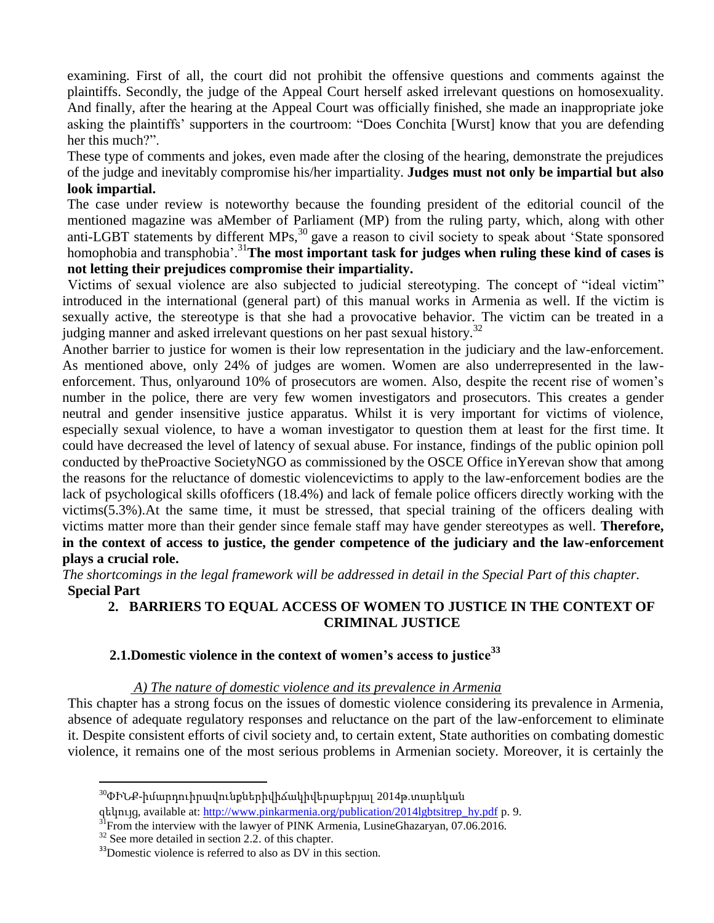examining. First of all, the court did not prohibit the offensive questions and comments against the plaintiffs. Secondly, the judge of the Appeal Court herself asked irrelevant questions on homosexuality. And finally, after the hearing at the Appeal Court was officially finished, she made an inappropriate joke asking the plaintiffs' supporters in the courtroom: "Does Conchita [Wurst] know that you are defending her this much?".

These type of comments and jokes, even made after the closing of the hearing, demonstrate the prejudices of the judge and inevitably compromise his/her impartiality. **Judges must not only be impartial but also look impartial.** 

The case under review is noteworthy because the founding president of the editorial council of the mentioned magazine was aMember of Parliament (MP) from the ruling party, which, along with other anti-LGBT statements by different MPs,<sup>30</sup> gave a reason to civil society to speak about 'State sponsored homophobia and transphobia'.<sup>31</sup>**The most important task for judges when ruling these kind of cases is not letting their prejudices compromise their impartiality.**

Victims of sexual violence are also subjected to judicial stereotyping. The concept of "ideal victim" introduced in the international (general part) of this manual works in Armenia as well. If the victim is sexually active, the stereotype is that she had a provocative behavior. The victim can be treated in a judging manner and asked irrelevant questions on her past sexual history.<sup>32</sup>

Another barrier to justice for women is their low representation in the judiciary and the law-enforcement. As mentioned above, only 24% of judges are women. Women are also underrepresented in the lawenforcement. Thus, onlyaround 10% of prosecutors are women. Also, despite the recent rise of women's number in the police, there are very few women investigators and prosecutors. This creates a gender neutral and gender insensitive justice apparatus. Whilst it is very important for victims of violence, especially sexual violence, to have a woman investigator to question them at least for the first time. It could have decreased the level of latency of sexual abuse. For instance, findings of the public opinion poll conducted by theProactive SocietyNGO as commissioned by the OSCE Office inYerevan show that among the reasons for the reluctance of domestic violencevictims to apply to the law-enforcement bodies are the lack of psychological skills ofofficers (18.4%) and lack of female police officers directly working with the victims(5.3%).At the same time, it must be stressed, that special training of the officers dealing with victims matter more than their gender since female staff may have gender stereotypes as well. **Therefore, in the context of access to justice, the gender competence of the judiciary and the law-enforcement plays a crucial role.**

*The shortcomings in the legal framework will be addressed in detail in the Special Part of this chapter.*  **Special Part** 

#### **2. BARRIERS TO EQUAL ACCESS OF WOMEN TO JUSTICE IN THE CONTEXT OF CRIMINAL JUSTICE**

#### **2.1.Domestic violence in the context of women's access to justice<sup>33</sup>**

#### *A) The nature of domestic violence and its prevalence in Armenia*

This chapter has a strong focus on the issues of domestic violence considering its prevalence in Armenia, absence of adequate regulatory responses and reluctance on the part of the law-enforcement to eliminate it. Despite consistent efforts of civil society and, to certain extent, State authorities on combating domestic violence, it remains one of the most serious problems in Armenian society. Moreover, it is certainly the

 $\ddot{\phantom{a}}$ 

<sup>30</sup>ՓԻՆՔ-իմարդուիրավունքներիվիճակիվերաբերյալ 2014թ.տարեկան

զեկույց, available at: [http://www.pinkarmenia.org/publication/2014lgbtsitrep\\_hy.pdf](http://www.pinkarmenia.org/publication/2014lgbtsitrep_hy.pdf) p. 9.

<sup>&</sup>lt;sup>31</sup>From the interview with the lawyer of PINK Armenia, LusineGhazaryan, 07.06.2016.

 $32$  See more detailed in section 2.2. of this chapter.

 $33$  Domestic violence is referred to also as DV in this section.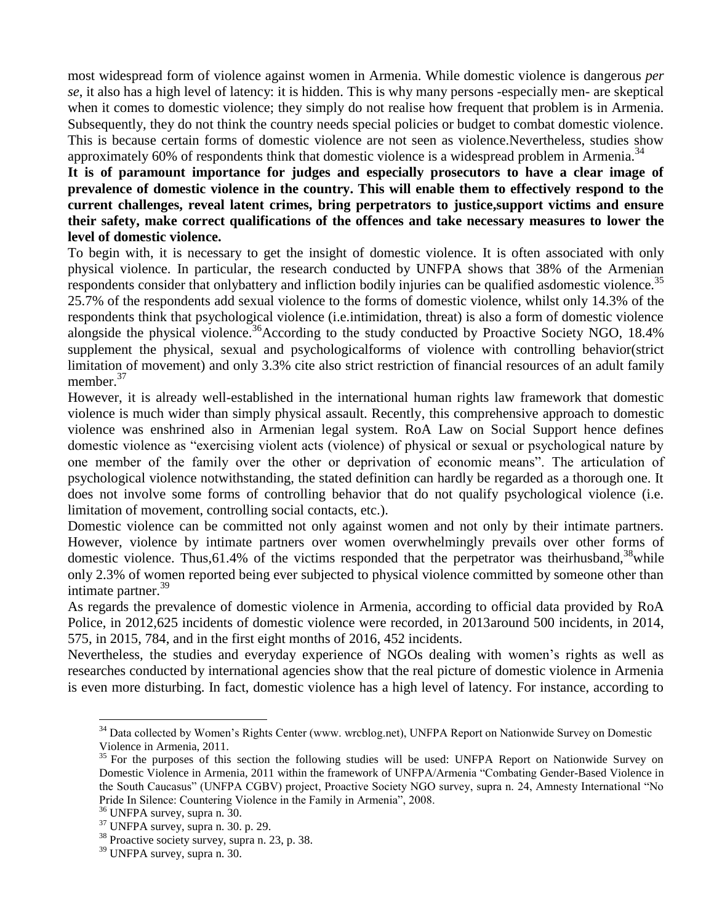most widespread form of violence against women in Armenia. While domestic violence is dangerous *per se*, it also has a high level of latency: it is hidden. This is why many persons -especially men- are skeptical when it comes to domestic violence; they simply do not realise how frequent that problem is in Armenia. Subsequently, they do not think the country needs special policies or budget to combat domestic violence. This is because certain forms of domestic violence are not seen as violence.Nevertheless, studies show approximately 60% of respondents think that domestic violence is a widespread problem in Armenia.<sup>34</sup>

#### **It is of paramount importance for judges and especially prosecutors to have a clear image of prevalence of domestic violence in the country. This will enable them to effectively respond to the current challenges, reveal latent crimes, bring perpetrators to justice,support victims and ensure their safety, make correct qualifications of the offences and take necessary measures to lower the level of domestic violence.**

To begin with, it is necessary to get the insight of domestic violence. It is often associated with only physical violence. In particular, the research conducted by UNFPA shows that 38% of the Armenian respondents consider that onlybattery and infliction bodily injuries can be qualified asdomestic violence.<sup>35</sup> 25.7% of the respondents add sexual violence to the forms of domestic violence, whilst only 14.3% of the respondents think that psychological violence (i.e.intimidation, threat) is also a form of domestic violence alongside the physical violence.<sup>36</sup>According to the study conducted by Proactive Society NGO, 18.4% supplement the physical, sexual and psychologicalforms of violence with controlling behavior(strict limitation of movement) and only 3.3% cite also strict restriction of financial resources of an adult family member. 37

However, it is already well-established in the international human rights law framework that domestic violence is much wider than simply physical assault. Recently, this comprehensive approach to domestic violence was enshrined also in Armenian legal system. RoA Law on Social Support hence defines domestic violence as "exercising violent acts (violence) of physical or sexual or psychological nature by one member of the family over the other or deprivation of economic means". The articulation of psychological violence notwithstanding, the stated definition can hardly be regarded as a thorough one. It does not involve some forms of controlling behavior that do not qualify psychological violence (i.e. limitation of movement, controlling social contacts, etc.).

Domestic violence can be committed not only against women and not only by their intimate partners. However, violence by intimate partners over women overwhelmingly prevails over other forms of domestic violence. Thus, 61.4% of the victims responded that the perpetrator was theirhusband,<sup>38</sup>while only 2.3% of women reported being ever subjected to physical violence committed by someone other than intimate partner.<sup>39</sup>

As regards the prevalence of domestic violence in Armenia, according to official data provided by RoA Police, in 2012,625 incidents of domestic violence were recorded, in 2013around 500 incidents, in 2014, 575, in 2015, 784, and in the first eight months of 2016, 452 incidents.

Nevertheless, the studies and everyday experience of NGOs dealing with women's rights as well as researches conducted by international agencies show that the real picture of domestic violence in Armenia is even more disturbing. In fact, domestic violence has a high level of latency. For instance, according to

<sup>&</sup>lt;sup>34</sup> Data collected by Women's Rights Center (www. wrcblog.net), UNFPA Report on Nationwide Survey on Domestic Violence in Armenia, 2011.

<sup>&</sup>lt;sup>35</sup> For the purposes of this section the following studies will be used: UNFPA Report on Nationwide Survey on Domestic Violence in Armenia, 2011 within the framework of UNFPA/Armenia "Combating Gender-Based Violence in the South Caucasus" (UNFPA CGBV) project, Proactive Society NGO survey, supra n. 24, Amnesty International "No Pride In Silence: Countering Violence in the Family in Armenia", 2008.

<sup>36</sup> UNFPA survey, supra n. 30.

<sup>37</sup> UNFPA survey, supra n. 30. p. 29.

<sup>&</sup>lt;sup>38</sup> Proactive society survey, supra n. 23, p. 38.

<sup>39</sup> UNFPA survey, supra n. 30.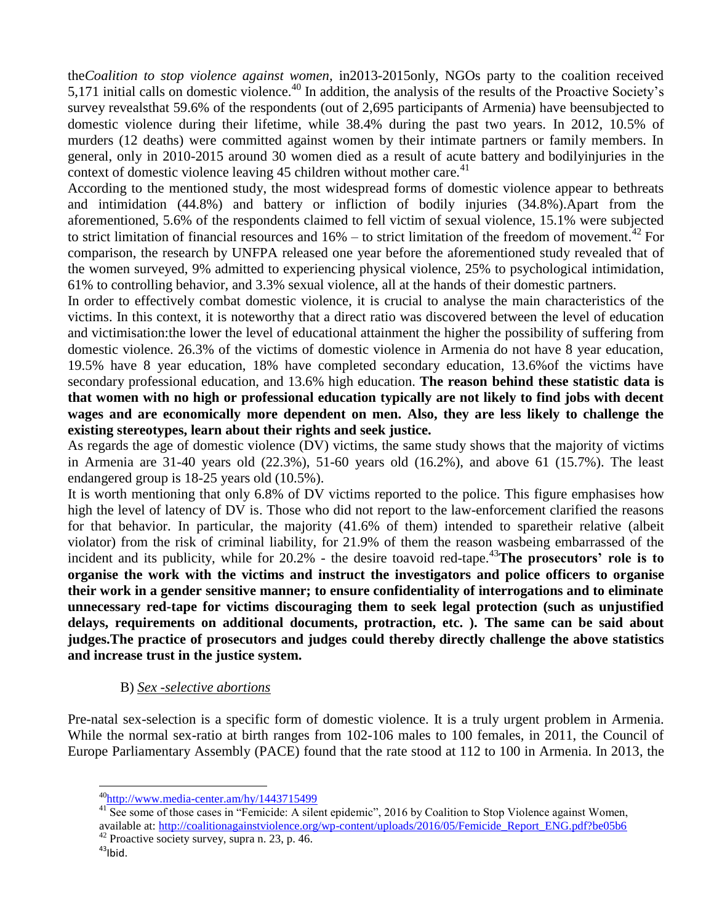the*Coalition to stop violence against women,* in2013-2015only, NGOs party to the coalition received 5,171 initial calls on domestic violence.<sup>40</sup> In addition, the analysis of the results of the Proactive Society's survey revealsthat 59.6% of the respondents (out of 2,695 participants of Armenia) have beensubjected to domestic violence during their lifetime, while 38.4% during the past two years. In 2012, 10.5% of murders (12 deaths) were committed against women by their intimate partners or family members. In general, only in 2010-2015 around 30 women died as a result of acute battery and bodilyinjuries in the context of domestic violence leaving 45 children without mother care.<sup>41</sup>

According to the mentioned study, the most widespread forms of domestic violence appear to bethreats and intimidation (44.8%) and battery or infliction of bodily injuries (34.8%).Apart from the aforementioned, 5.6% of the respondents claimed to fell victim of sexual violence, 15.1% were subjected to strict limitation of financial resources and  $16\%$  – to strict limitation of the freedom of movement.<sup>42</sup> For comparison, the research by UNFPA released one year before the aforementioned study revealed that of the women surveyed, 9% admitted to experiencing physical violence, 25% to psychological intimidation, 61% to controlling behavior, and 3.3% sexual violence, all at the hands of their domestic partners.

In order to effectively combat domestic violence, it is crucial to analyse the main characteristics of the victims. In this context, it is noteworthy that a direct ratio was discovered between the level of education and victimisation:the lower the level of educational attainment the higher the possibility of suffering from domestic violence. 26.3% of the victims of domestic violence in Armenia do not have 8 year education, 19.5% have 8 year education, 18% have completed secondary education, 13.6%of the victims have secondary professional education, and 13.6% high education. **The reason behind these statistic data is that women with no high or professional education typically are not likely to find jobs with decent wages and are economically more dependent on men. Also, they are less likely to challenge the existing stereotypes, learn about their rights and seek justice.**

As regards the age of domestic violence (DV) victims, the same study shows that the majority of victims in Armenia are 31-40 years old (22.3%), 51-60 years old (16.2%), and above 61 (15.7%). The least endangered group is 18-25 years old (10.5%).

It is worth mentioning that only 6.8% of DV victims reported to the police. This figure emphasises how high the level of latency of DV is. Those who did not report to the law-enforcement clarified the reasons for that behavior. In particular, the majority (41.6% of them) intended to sparetheir relative (albeit violator) from the risk of criminal liability, for 21.9% of them the reason wasbeing embarrassed of the incident and its publicity, while for 20.2% - the desire toavoid red-tape.<sup>43</sup>The prosecutors' role is to **organise the work with the victims and instruct the investigators and police officers to organise their work in a gender sensitive manner; to ensure confidentiality of interrogations and to eliminate unnecessary red-tape for victims discouraging them to seek legal protection (such as unjustified delays, requirements on additional documents, protraction, etc. ). The same can be said about judges.The practice of prosecutors and judges could thereby directly challenge the above statistics and increase trust in the justice system.**

#### B) *Sex -selective abortions*

Pre-natal sex-selection is a specific form of domestic violence. It is a truly urgent problem in Armenia. While the normal sex-ratio at birth ranges from 102-106 males to 100 females, in 2011, the Council of Europe Parliamentary Assembly (PACE) found that the rate stood at 112 to 100 in Armenia. In 2013, the

<sup>42</sup> Proactive society survey, supra n. 23, p. 46.

 $\ddot{\phantom{a}}$ <sup>40</sup><http://www.media-center.am/hy/1443715499>

<sup>&</sup>lt;sup>41</sup> See some of those cases in "Femicide: A silent epidemic", 2016 by Coalition to Stop Violence against Women, available at: [http://coalitionagainstviolence.org/wp-content/uploads/2016/05/Femicide\\_Report\\_ENG.pdf?be05b6](http://coalitionagainstviolence.org/wp-content/uploads/2016/05/Femicide_Report_ENG.pdf?be05b6)

 $43$ Ibid.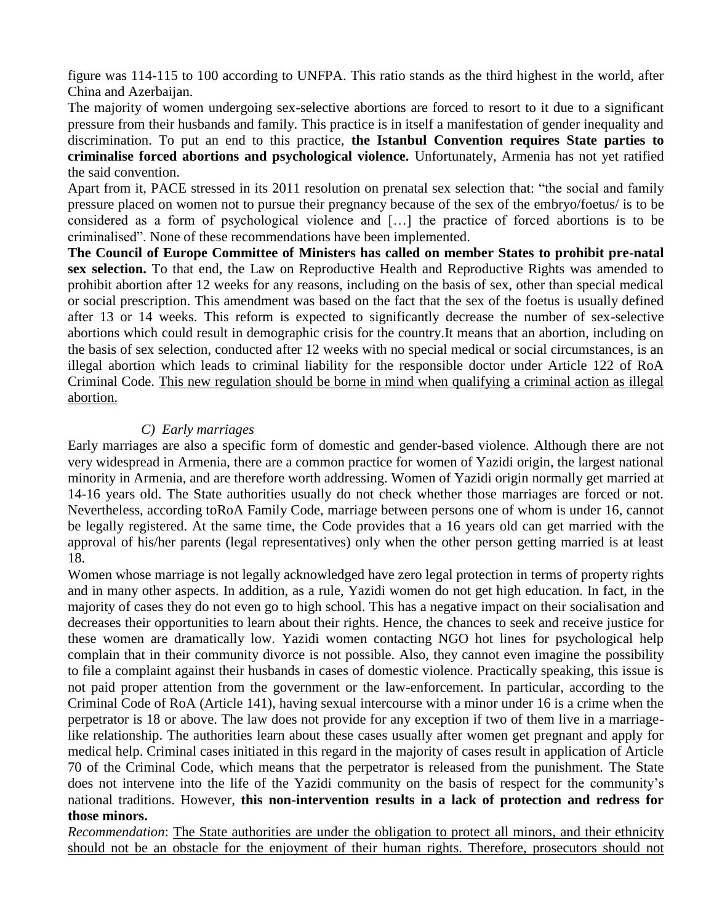figure was 114-115 to 100 according to UNFPA. This ratio stands as the third highest in the world, after China and Azerbaijan.

The majority of women undergoing sex-selective abortions are forced to resort to it due to a significant pressure from their husbands and family. This practice is in itself a manifestation of gender inequality and discrimination. To put an end to this practice, **the Istanbul Convention requires State parties to criminalise forced abortions and psychological violence.** Unfortunately, Armenia has not yet ratified the said convention.

Apart from it, PACE stressed in its 2011 resolution on prenatal sex selection that: "the social and family pressure placed on women not to pursue their pregnancy because of the sex of the embryo/foetus/ is to be considered as a form of psychological violence and […] the practice of forced abortions is to be criminalised". None of these recommendations have been implemented.

**The Council of Europe Committee of Ministers has called on member States to prohibit pre-natal sex selection.** To that end, the Law on Reproductive Health and Reproductive Rights was amended to prohibit abortion after 12 weeks for any reasons, including on the basis of sex, other than special medical or social prescription. This amendment was based on the fact that the sex of the foetus is usually defined after 13 or 14 weeks. This reform is expected to significantly decrease the number of sex-selective abortions which could result in demographic crisis for the country.It means that an abortion, including on the basis of sex selection, conducted after 12 weeks with no special medical or social circumstances, is an illegal abortion which leads to criminal liability for the responsible doctor under Article 122 of RoA Criminal Code. This new regulation should be borne in mind when qualifying a criminal action as illegal abortion.

#### *C) Early marriages*

Early marriages are also a specific form of domestic and gender-based violence. Although there are not very widespread in Armenia, there are a common practice for women of Yazidi origin, the largest national minority in Armenia, and are therefore worth addressing. Women of Yazidi origin normally get married at 14-16 years old. The State authorities usually do not check whether those marriages are forced or not. Nevertheless, according toRoA Family Code, marriage between persons one of whom is under 16, cannot be legally registered. At the same time, the Code provides that a 16 years old can get married with the approval of his/her parents (legal representatives) only when the other person getting married is at least 18.

Women whose marriage is not legally acknowledged have zero legal protection in terms of property rights and in many other aspects. In addition, as a rule, Yazidi women do not get high education. In fact, in the majority of cases they do not even go to high school. This has a negative impact on their socialisation and decreases their opportunities to learn about their rights. Hence, the chances to seek and receive justice for these women are dramatically low. Yazidi women contacting NGO hot lines for psychological help complain that in their community divorce is not possible. Also, they cannot even imagine the possibility to file a complaint against their husbands in cases of domestic violence. Practically speaking, this issue is not paid proper attention from the government or the law-enforcement. In particular, according to the Criminal Code of RoA (Article 141), having sexual intercourse with a minor under 16 is a crime when the perpetrator is 18 or above. The law does not provide for any exception if two of them live in a marriagelike relationship. The authorities learn about these cases usually after women get pregnant and apply for medical help. Criminal cases initiated in this regard in the majority of cases result in application of Article 70 of the Criminal Code, which means that the perpetrator is released from the punishment. The State does not intervene into the life of the Yazidi community on the basis of respect for the community's national traditions. However, **this non-intervention results in a lack of protection and redress for those minors.** 

*Recommendation*: The State authorities are under the obligation to protect all minors, and their ethnicity should not be an obstacle for the enjoyment of their human rights. Therefore, prosecutors should not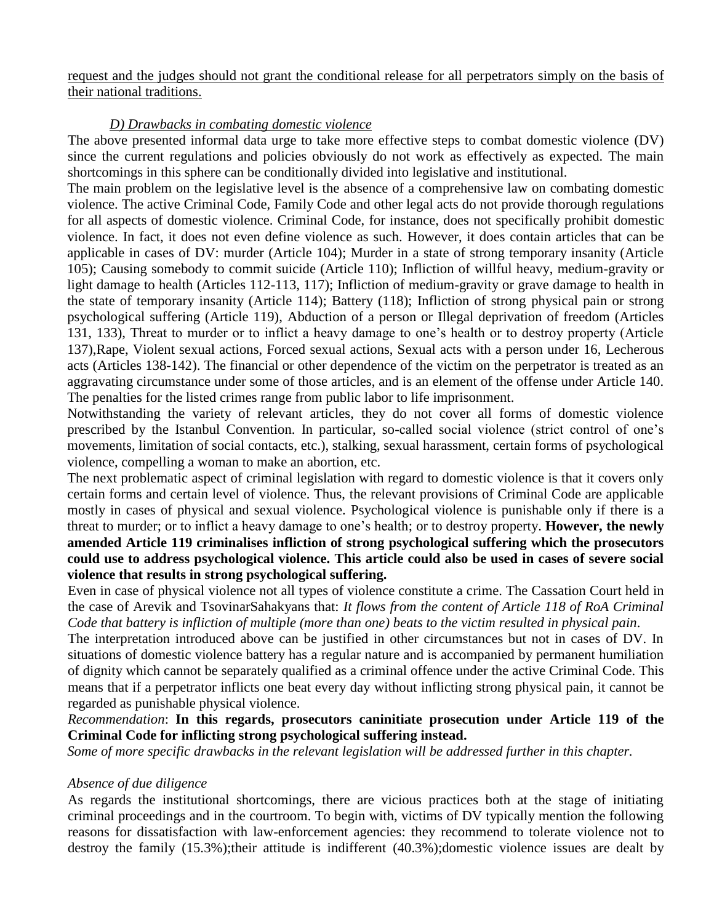request and the judges should not grant the conditional release for all perpetrators simply on the basis of their national traditions.

#### *D) Drawbacks in combating domestic violence*

The above presented informal data urge to take more effective steps to combat domestic violence (DV) since the current regulations and policies obviously do not work as effectively as expected. The main shortcomings in this sphere can be conditionally divided into legislative and institutional.

The main problem on the legislative level is the absence of a comprehensive law on combating domestic violence. The active Criminal Code, Family Code and other legal acts do not provide thorough regulations for all aspects of domestic violence. Criminal Code, for instance, does not specifically prohibit domestic violence. In fact, it does not even define violence as such. However, it does contain articles that can be applicable in cases of DV: murder (Article 104); Murder in a state of strong temporary insanity (Article 105); Causing somebody to commit suicide (Article 110); Infliction of willful heavy, medium-gravity or light damage to health (Articles 112-113, 117); Infliction of medium-gravity or grave damage to health in the state of temporary insanity (Article 114); Battery (118); Infliction of strong physical pain or strong psychological suffering (Article 119), Abduction of a person or Illegal deprivation of freedom (Articles 131, 133), Threat to murder or to inflict a heavy damage to one's health or to destroy property (Article 137),Rape, Violent sexual actions, Forced sexual actions, Sexual acts with a person under 16, Lecherous acts (Articles 138-142). The financial or other dependence of the victim on the perpetrator is treated as an aggravating circumstance under some of those articles, and is an element of the offense under Article 140. The penalties for the listed crimes range from public labor to life imprisonment.

Notwithstanding the variety of relevant articles, they do not cover all forms of domestic violence prescribed by the Istanbul Convention. In particular, so-called social violence (strict control of one's movements, limitation of social contacts, etc.), stalking, sexual harassment, certain forms of psychological violence, compelling a woman to make an abortion, etc.

The next problematic aspect of criminal legislation with regard to domestic violence is that it covers only certain forms and certain level of violence. Thus, the relevant provisions of Criminal Code are applicable mostly in cases of physical and sexual violence. Psychological violence is punishable only if there is a threat to murder; or to inflict a heavy damage to one's health; or to destroy property. **However, the newly amended Article 119 criminalises infliction of strong psychological suffering which the prosecutors could use to address psychological violence. This article could also be used in cases of severe social violence that results in strong psychological suffering.**

Even in case of physical violence not all types of violence constitute a crime. The Cassation Court held in the case of Arevik and TsovinarSahakyans that: *It flows from the content of Article 118 of RoA Criminal Code that battery is infliction of multiple (more than one) beats to the victim resulted in physical pain*.

The interpretation introduced above can be justified in other circumstances but not in cases of DV. In situations of domestic violence battery has a regular nature and is accompanied by permanent humiliation of dignity which cannot be separately qualified as a criminal offence under the active Criminal Code. This means that if a perpetrator inflicts one beat every day without inflicting strong physical pain, it cannot be regarded as punishable physical violence.

*Recommendation*: **In this regards, prosecutors caninitiate prosecution under Article 119 of the Criminal Code for inflicting strong psychological suffering instead.**

*Some of more specific drawbacks in the relevant legislation will be addressed further in this chapter.*

#### *Absence of due diligence*

As regards the institutional shortcomings, there are vicious practices both at the stage of initiating criminal proceedings and in the courtroom. To begin with, victims of DV typically mention the following reasons for dissatisfaction with law-enforcement agencies: they recommend to tolerate violence not to destroy the family (15.3%);their attitude is indifferent (40.3%);domestic violence issues are dealt by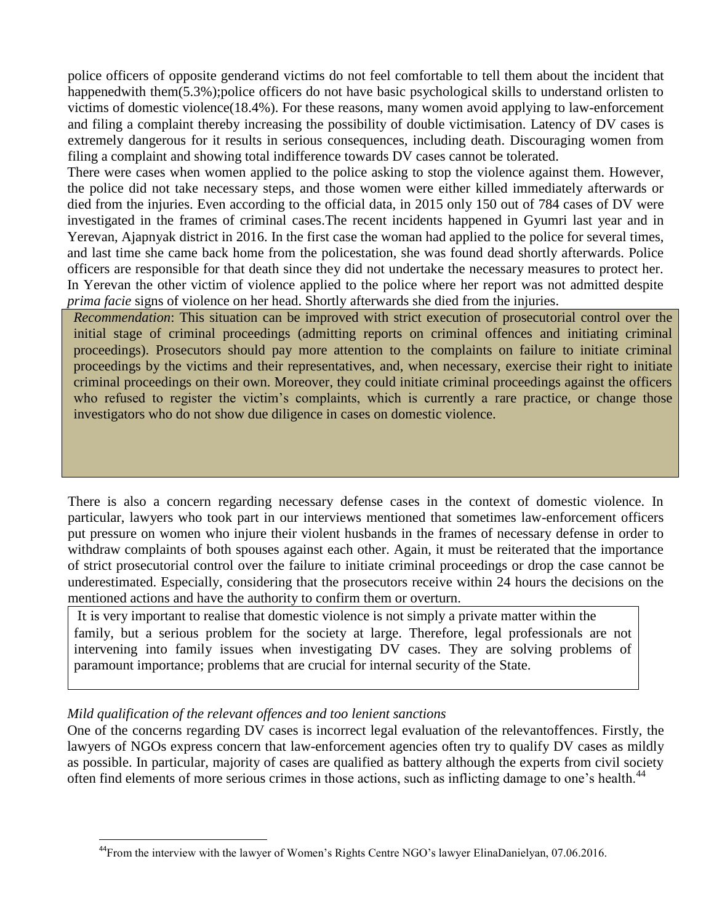police officers of opposite genderand victims do not feel comfortable to tell them about the incident that happenedwith them(5.3%);police officers do not have basic psychological skills to understand orlisten to victims of domestic violence(18.4%). For these reasons, many women avoid applying to law-enforcement and filing a complaint thereby increasing the possibility of double victimisation. Latency of DV cases is extremely dangerous for it results in serious consequences, including death. Discouraging women from filing a complaint and showing total indifference towards DV cases cannot be tolerated.

There were cases when women applied to the police asking to stop the violence against them. However, the police did not take necessary steps, and those women were either killed immediately afterwards or died from the injuries. Even according to the official data, in 2015 only 150 out of 784 cases of DV were investigated in the frames of criminal cases.The recent incidents happened in Gyumri last year and in Yerevan, Ajapnyak district in 2016. In the first case the woman had applied to the police for several times, and last time she came back home from the policestation, she was found dead shortly afterwards. Police officers are responsible for that death since they did not undertake the necessary measures to protect her. In Yerevan the other victim of violence applied to the police where her report was not admitted despite *prima facie* signs of violence on her head. Shortly afterwards she died from the injuries.

*Recommendation*: This situation can be improved with strict execution of prosecutorial control over the initial stage of criminal proceedings (admitting reports on criminal offences and initiating criminal proceedings). Prosecutors should pay more attention to the complaints on failure to initiate criminal proceedings by the victims and their representatives, and, when necessary, exercise their right to initiate criminal proceedings on their own. Moreover, they could initiate criminal proceedings against the officers who refused to register the victim's complaints, which is currently a rare practice, or change those investigators who do not show due diligence in cases on domestic violence.

There is also a concern regarding necessary defense cases in the context of domestic violence. In particular, lawyers who took part in our interviews mentioned that sometimes law-enforcement officers put pressure on women who injure their violent husbands in the frames of necessary defense in order to withdraw complaints of both spouses against each other. Again, it must be reiterated that the importance of strict prosecutorial control over the failure to initiate criminal proceedings or drop the case cannot be underestimated. Especially, considering that the prosecutors receive within 24 hours the decisions on the mentioned actions and have the authority to confirm them or overturn.

It is very important to realise that domestic violence is not simply a private matter within the family, but a serious problem for the society at large. Therefore, legal professionals are not intervening into family issues when investigating DV cases. They are solving problems of paramount importance; problems that are crucial for internal security of the State.

#### *Mild qualification of the relevant offences and too lenient sanctions*

One of the concerns regarding DV cases is incorrect legal evaluation of the relevantoffences. Firstly, the lawyers of NGOs express concern that law-enforcement agencies often try to qualify DV cases as mildly as possible. In particular, majority of cases are qualified as battery although the experts from civil society often find elements of more serious crimes in those actions, such as inflicting damage to one's health.<sup>44</sup>

 $\overline{a}$ <sup>44</sup>From the interview with the lawyer of Women's Rights Centre NGO's lawyer ElinaDanielyan, 07.06.2016.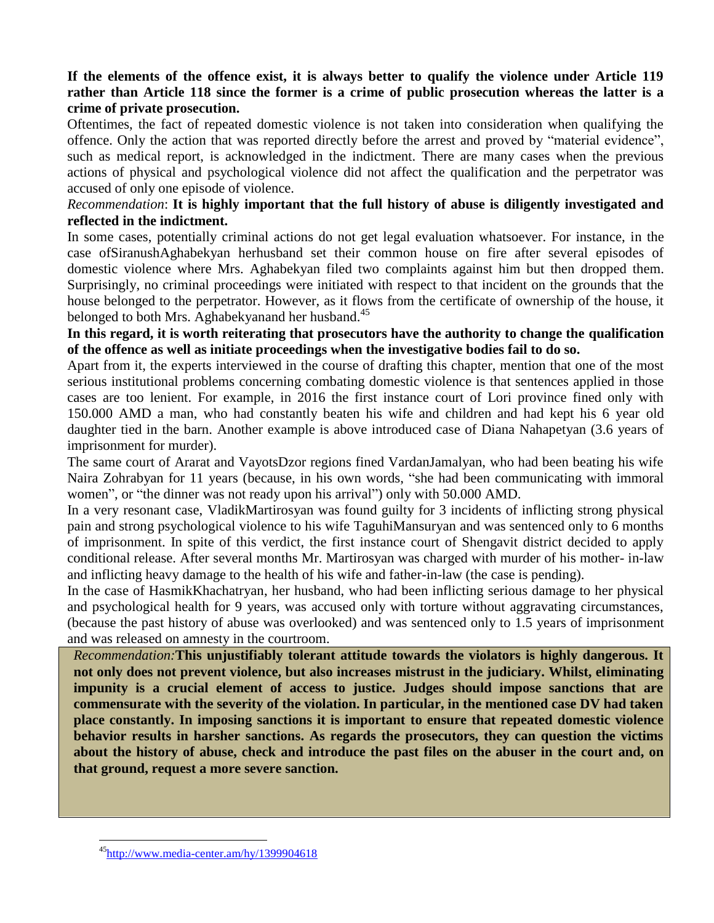#### **If the elements of the offence exist, it is always better to qualify the violence under Article 119 rather than Article 118 since the former is a crime of public prosecution whereas the latter is a crime of private prosecution.**

Oftentimes, the fact of repeated domestic violence is not taken into consideration when qualifying the offence. Only the action that was reported directly before the arrest and proved by "material evidence", such as medical report, is acknowledged in the indictment. There are many cases when the previous actions of physical and psychological violence did not affect the qualification and the perpetrator was accused of only one episode of violence.

#### *Recommendation*: **It is highly important that the full history of abuse is diligently investigated and reflected in the indictment.**

In some cases, potentially criminal actions do not get legal evaluation whatsoever. For instance, in the case ofSiranushAghabekyan herhusband set their common house on fire after several episodes of domestic violence where Mrs. Aghabekyan filed two complaints against him but then dropped them. Surprisingly, no criminal proceedings were initiated with respect to that incident on the grounds that the house belonged to the perpetrator. However, as it flows from the certificate of ownership of the house, it belonged to both Mrs. Aghabekyanand her husband.<sup>45</sup>

**In this regard, it is worth reiterating that prosecutors have the authority to change the qualification of the offence as well as initiate proceedings when the investigative bodies fail to do so.**

Apart from it, the experts interviewed in the course of drafting this chapter, mention that one of the most serious institutional problems concerning combating domestic violence is that sentences applied in those cases are too lenient. For example, in 2016 the first instance court of Lori province fined only with 150.000 AMD a man, who had constantly beaten his wife and children and had kept his 6 year old daughter tied in the barn. Another example is above introduced case of Diana Nahapetyan (3.6 years of imprisonment for murder).

The same court of Ararat and VayotsDzor regions fined VardanJamalyan, who had been beating his wife Naira Zohrabyan for 11 years (because, in his own words, "she had been communicating with immoral women", or "the dinner was not ready upon his arrival") only with 50.000 AMD.

In a very resonant case, VladikMartirosyan was found guilty for 3 incidents of inflicting strong physical pain and strong psychological violence to his wife TaguhiMansuryan and was sentenced only to 6 months of imprisonment. In spite of this verdict, the first instance court of Shengavit district decided to apply conditional release. After several months Mr. Martirosyan was charged with murder of his mother- in-law and inflicting heavy damage to the health of his wife and father-in-law (the case is pending).

In the case of HasmikKhachatryan, her husband, who had been inflicting serious damage to her physical and psychological health for 9 years, was accused only with torture without aggravating circumstances, (because the past history of abuse was overlooked) and was sentenced only to 1.5 years of imprisonment and was released on amnesty in the courtroom.

*Recommendation:***This unjustifiably tolerant attitude towards the violators is highly dangerous. It not only does not prevent violence, but also increases mistrust in the judiciary. Whilst, eliminating impunity is a crucial element of access to justice. Judges should impose sanctions that are commensurate with the severity of the violation. In particular, in the mentioned case DV had taken place constantly. In imposing sanctions it is important to ensure that repeated domestic violence behavior results in harsher sanctions. As regards the prosecutors, they can question the victims about the history of abuse, check and introduce the past files on the abuser in the court and, on that ground, request a more severe sanction.**

<sup>45</sup><http://www.media-center.am/hy/1399904618>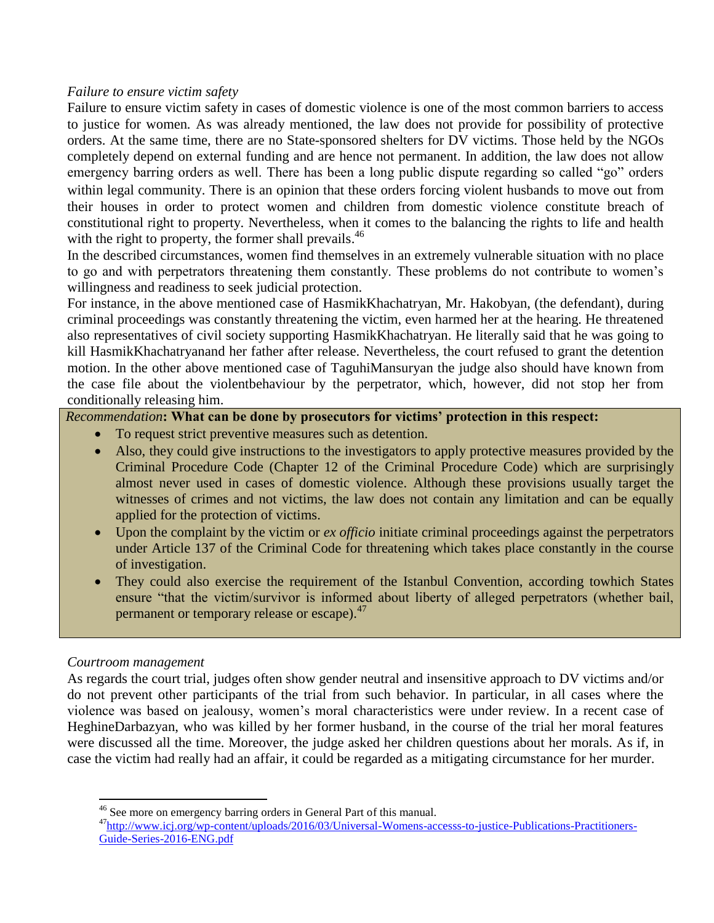#### *Failure to ensure victim safety*

Failure to ensure victim safety in cases of domestic violence is one of the most common barriers to access to justice for women*.* As was already mentioned, the law does not provide for possibility of protective orders. At the same time, there are no State-sponsored shelters for DV victims. Those held by the NGOs completely depend on external funding and are hence not permanent. In addition, the law does not allow emergency barring orders as well. There has been a long public dispute regarding so called "go" orders within legal community. There is an opinion that these orders forcing violent husbands to move out from their houses in order to protect women and children from domestic violence constitute breach of constitutional right to property. Nevertheless, when it comes to the balancing the rights to life and health with the right to property, the former shall prevails.<sup>46</sup>

In the described circumstances, women find themselves in an extremely vulnerable situation with no place to go and with perpetrators threatening them constantly. These problems do not contribute to women's willingness and readiness to seek judicial protection.

For instance, in the above mentioned case of HasmikKhachatryan, Mr. Hakobyan, (the defendant), during criminal proceedings was constantly threatening the victim, even harmed her at the hearing. He threatened also representatives of civil society supporting HasmikKhachatryan. He literally said that he was going to kill HasmikKhachatryanand her father after release. Nevertheless, the court refused to grant the detention motion. In the other above mentioned case of TaguhiMansuryan the judge also should have known from the case file about the violentbehaviour by the perpetrator, which, however, did not stop her from conditionally releasing him.

*Recommendation***: What can be done by prosecutors for victims' protection in this respect:**

- To request strict preventive measures such as detention.
- Also, they could give instructions to the investigators to apply protective measures provided by the Criminal Procedure Code (Chapter 12 of the Criminal Procedure Code) which are surprisingly almost never used in cases of domestic violence. Although these provisions usually target the witnesses of crimes and not victims, the law does not contain any limitation and can be equally applied for the protection of victims.
- Upon the complaint by the victim or *ex officio* initiate criminal proceedings against the perpetrators under Article 137 of the Criminal Code for threatening which takes place constantly in the course of investigation.
- They could also exercise the requirement of the Istanbul Convention, according towhich States ensure "that the victim/survivor is informed about liberty of alleged perpetrators (whether bail, permanent or temporary release or escape).<sup>47</sup>

#### *Courtroom management*

 $\overline{a}$ 

As regards the court trial, judges often show gender neutral and insensitive approach to DV victims and/or do not prevent other participants of the trial from such behavior. In particular, in all cases where the violence was based on jealousy, women's moral characteristics were under review. In a recent case of HeghineDarbazyan, who was killed by her former husband, in the course of the trial her moral features were discussed all the time. Moreover, the judge asked her children questions about her morals. As if, in case the victim had really had an affair, it could be regarded as a mitigating circumstance for her murder.

<sup>&</sup>lt;sup>46</sup> See more on emergency barring orders in General Part of this manual.

<sup>&</sup>lt;sup>47</sup>[http://www.icj.org/wp-content/uploads/2016/03/Universal-Womens-accesss-to-justice-Publications-Practitioners-](http://www.icj.org/wp-content/uploads/2016/03/Universal-Womens-accesss-to-justice-Publications-Practitioners-Guide-Series-2016-ENG.pdf)[Guide-Series-2016-ENG.pdf](http://www.icj.org/wp-content/uploads/2016/03/Universal-Womens-accesss-to-justice-Publications-Practitioners-Guide-Series-2016-ENG.pdf)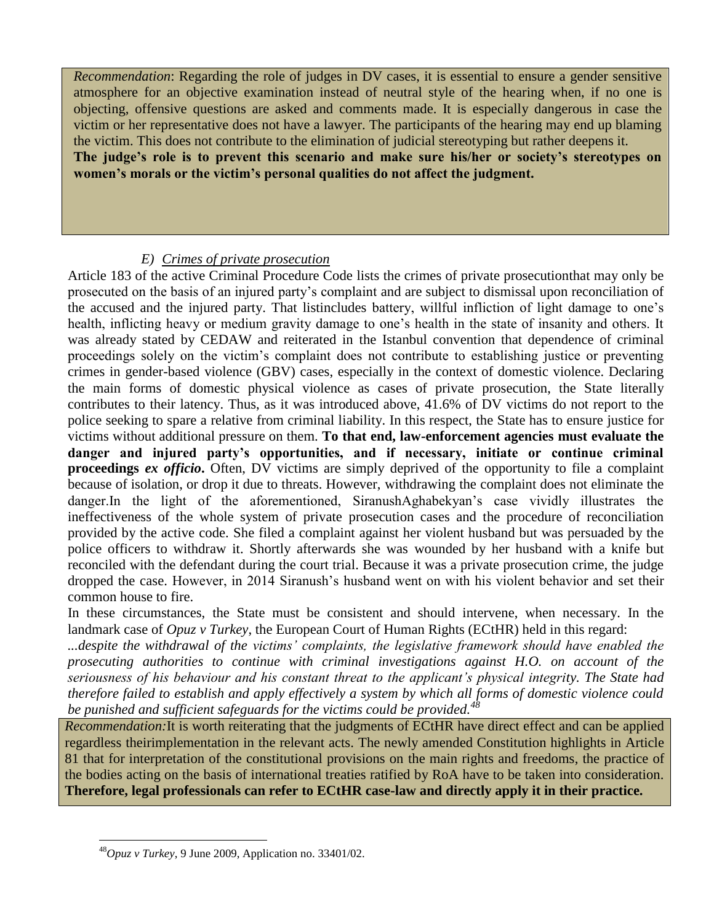*Recommendation*: Regarding the role of judges in DV cases, it is essential to ensure a gender sensitive atmosphere for an objective examination instead of neutral style of the hearing when, if no one is objecting, offensive questions are asked and comments made. It is especially dangerous in case the victim or her representative does not have a lawyer. The participants of the hearing may end up blaming the victim. This does not contribute to the elimination of judicial stereotyping but rather deepens it. **The judge's role is to prevent this scenario and make sure his/her or society's stereotypes on** 

**women's morals or the victim's personal qualities do not affect the judgment.**

#### *E) Crimes of private prosecution*

Article 183 of the active Criminal Procedure Code lists the crimes of private prosecutionthat may only be prosecuted on the basis of an injured party's complaint and are subject to dismissal upon reconciliation of the accused and the injured party. That listincludes battery, willful infliction of light damage to one's health, inflicting heavy or medium gravity damage to one's health in the state of insanity and others. It was already stated by CEDAW and reiterated in the Istanbul convention that dependence of criminal proceedings solely on the victim's complaint does not contribute to establishing justice or preventing crimes in gender-based violence (GBV) cases, especially in the context of domestic violence. Declaring the main forms of domestic physical violence as cases of private prosecution, the State literally contributes to their latency. Thus, as it was introduced above, 41.6% of DV victims do not report to the police seeking to spare a relative from criminal liability. In this respect, the State has to ensure justice for victims without additional pressure on them. **To that end, law-enforcement agencies must evaluate the danger and injured party's opportunities, and if necessary, initiate or continue criminal proceedings** *ex officio***.** Often, DV victims are simply deprived of the opportunity to file a complaint because of isolation, or drop it due to threats. However, withdrawing the complaint does not eliminate the danger.In the light of the aforementioned, SiranushAghabekyan's case vividly illustrates the ineffectiveness of the whole system of private prosecution cases and the procedure of reconciliation provided by the active code. She filed a complaint against her violent husband but was persuaded by the police officers to withdraw it. Shortly afterwards she was wounded by her husband with a knife but reconciled with the defendant during the court trial. Because it was a private prosecution crime, the judge dropped the case. However, in 2014 Siranush's husband went on with his violent behavior and set their common house to fire.

In these circumstances, the State must be consistent and should intervene, when necessary. In the landmark case of *Opuz v Turkey*, the European Court of Human Rights (ECtHR) held in this regard:

*...despite the withdrawal of the victims' complaints, the legislative framework should have enabled the prosecuting authorities to continue with criminal investigations against H.O. on account of the seriousness of his behaviour and his constant threat to the applicant's physical integrity. The State had therefore failed to establish and apply effectively a system by which all forms of domestic violence could be punished and sufficient safeguards for the victims could be provided.<sup>48</sup>*

*Recommendation:*It is worth reiterating that the judgments of ECtHR have direct effect and can be applied regardless theirimplementation in the relevant acts. The newly amended Constitution highlights in Article 81 that for interpretation of the constitutional provisions on the main rights and freedoms, the practice of the bodies acting on the basis of international treaties ratified by RoA have to be taken into consideration. **Therefore, legal professionals can refer to ECtHR case-law and directly apply it in their practice.**

<sup>48</sup>*Opuz v Turkey*, 9 June 2009, Application no. 33401/02.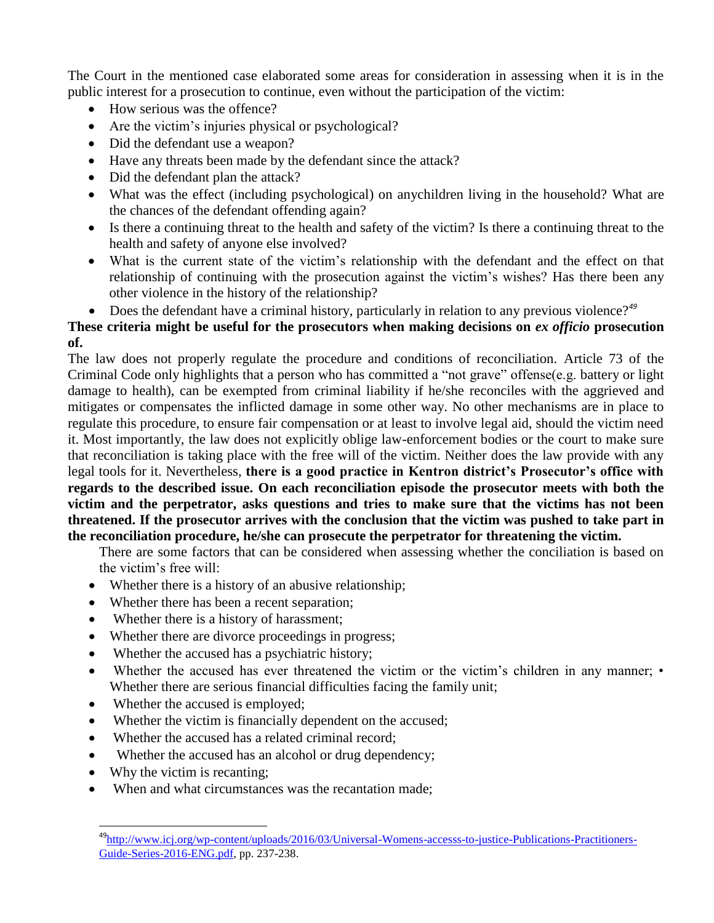The Court in the mentioned case elaborated some areas for consideration in assessing when it is in the public interest for a prosecution to continue, even without the participation of the victim:

- How serious was the offence?
- Are the victim's injuries physical or psychological?
- Did the defendant use a weapon?
- Have any threats been made by the defendant since the attack?
- Did the defendant plan the attack?
- What was the effect (including psychological) on anychildren living in the household? What are the chances of the defendant offending again?
- Is there a continuing threat to the health and safety of the victim? Is there a continuing threat to the health and safety of anyone else involved?
- What is the current state of the victim's relationship with the defendant and the effect on that relationship of continuing with the prosecution against the victim's wishes? Has there been any other violence in the history of the relationship?
- Does the defendant have a criminal history, particularly in relation to any previous violence?<sup>49</sup>

### **These criteria might be useful for the prosecutors when making decisions on** *ex officio* **prosecution of.**

The law does not properly regulate the procedure and conditions of reconciliation. Article 73 of the Criminal Code only highlights that a person who has committed a "not grave" offense(e.g. battery or light damage to health), can be exempted from criminal liability if he/she reconciles with the aggrieved and mitigates or compensates the inflicted damage in some other way. No other mechanisms are in place to regulate this procedure, to ensure fair compensation or at least to involve legal aid, should the victim need it. Most importantly, the law does not explicitly oblige law-enforcement bodies or the court to make sure that reconciliation is taking place with the free will of the victim. Neither does the law provide with any legal tools for it. Nevertheless, **there is a good practice in Kentron district's Prosecutor's office with regards to the described issue. On each reconciliation episode the prosecutor meets with both the victim and the perpetrator, asks questions and tries to make sure that the victims has not been threatened. If the prosecutor arrives with the conclusion that the victim was pushed to take part in the reconciliation procedure, he/she can prosecute the perpetrator for threatening the victim.**

There are some factors that can be considered when assessing whether the conciliation is based on the victim's free will:

- Whether there is a history of an abusive relationship;
- Whether there has been a recent separation;
- Whether there is a history of harassment;
- Whether there are divorce proceedings in progress;
- Whether the accused has a psychiatric history;
- Whether the accused has ever threatened the victim or the victim's children in any manner; Whether there are serious financial difficulties facing the family unit;
- Whether the accused is employed;
- Whether the victim is financially dependent on the accused;
- Whether the accused has a related criminal record;
- Whether the accused has an alcohol or drug dependency;
- Why the victim is recanting;

 $\overline{a}$ 

When and what circumstances was the recantation made;

<sup>&</sup>lt;sup>49</sup>[http://www.icj.org/wp-content/uploads/2016/03/Universal-Womens-accesss-to-justice-Publications-Practitioners-](http://www.icj.org/wp-content/uploads/2016/03/Universal-Womens-accesss-to-justice-Publications-Practitioners-Guide-Series-2016-ENG.pdf)[Guide-Series-2016-ENG.pdf,](http://www.icj.org/wp-content/uploads/2016/03/Universal-Womens-accesss-to-justice-Publications-Practitioners-Guide-Series-2016-ENG.pdf) pp. 237-238.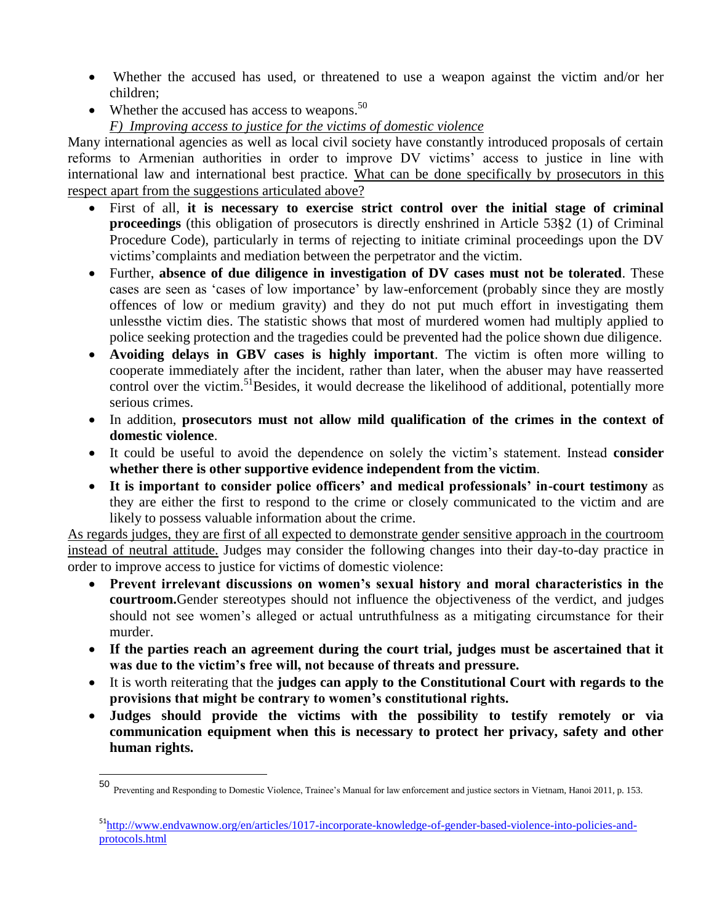- Whether the accused has used, or threatened to use a weapon against the victim and/or her children;
- Whether the accused has access to weapons.<sup>50</sup> *F) Improving access to justice for the victims of domestic violence*

Many international agencies as well as local civil society have constantly introduced proposals of certain reforms to Armenian authorities in order to improve DV victims' access to justice in line with international law and international best practice. What can be done specifically by prosecutors in this respect apart from the suggestions articulated above?

- First of all, **it is necessary to exercise strict control over the initial stage of criminal proceedings** (this obligation of prosecutors is directly enshrined in Article 53§2 (1) of Criminal Procedure Code), particularly in terms of rejecting to initiate criminal proceedings upon the DV victims'complaints and mediation between the perpetrator and the victim.
- Further, **absence of due diligence in investigation of DV cases must not be tolerated**. These cases are seen as 'cases of low importance' by law-enforcement (probably since they are mostly offences of low or medium gravity) and they do not put much effort in investigating them unlessthe victim dies. The statistic shows that most of murdered women had multiply applied to police seeking protection and the tragedies could be prevented had the police shown due diligence.
- **Avoiding delays in GBV cases is highly important**. The victim is often more willing to cooperate immediately after the incident, rather than later, when the abuser may have reasserted control over the victim.<sup>51</sup>Besides, it would decrease the likelihood of additional, potentially more serious crimes.
- In addition, **prosecutors must not allow mild qualification of the crimes in the context of domestic violence**.
- It could be useful to avoid the dependence on solely the victim's statement. Instead **consider whether there is other supportive evidence independent from the victim**.
- **It is important to consider police officers' and medical professionals' in-court testimony** as they are either the first to respond to the crime or closely communicated to the victim and are likely to possess valuable information about the crime.

As regards judges, they are first of all expected to demonstrate gender sensitive approach in the courtroom instead of neutral attitude. Judges may consider the following changes into their day-to-day practice in order to improve access to justice for victims of domestic violence:

- **Prevent irrelevant discussions on women's sexual history and moral characteristics in the courtroom.**Gender stereotypes should not influence the objectiveness of the verdict, and judges should not see women's alleged or actual untruthfulness as a mitigating circumstance for their murder.
- **If the parties reach an agreement during the court trial, judges must be ascertained that it was due to the victim's free will, not because of threats and pressure.**
- It is worth reiterating that the **judges can apply to the Constitutional Court with regards to the provisions that might be contrary to women's constitutional rights.**
- **Judges should provide the victims with the possibility to testify remotely or via communication equipment when this is necessary to protect her privacy, safety and other human rights.**

 50 Preventing and Responding to Domestic Violence, Trainee's Manual for law enforcement and justice sectors in Vietnam, Hanoi 2011, p. 153.

<sup>&</sup>lt;sup>51</sup>[http://www.endvawnow.org/en/articles/1017-incorporate-knowledge-of-gender-based-violence-into-policies-and](http://www.endvawnow.org/en/articles/1017-incorporate-knowledge-of-gender-based-violence-into-policies-and-protocols.html)[protocols.html](http://www.endvawnow.org/en/articles/1017-incorporate-knowledge-of-gender-based-violence-into-policies-and-protocols.html)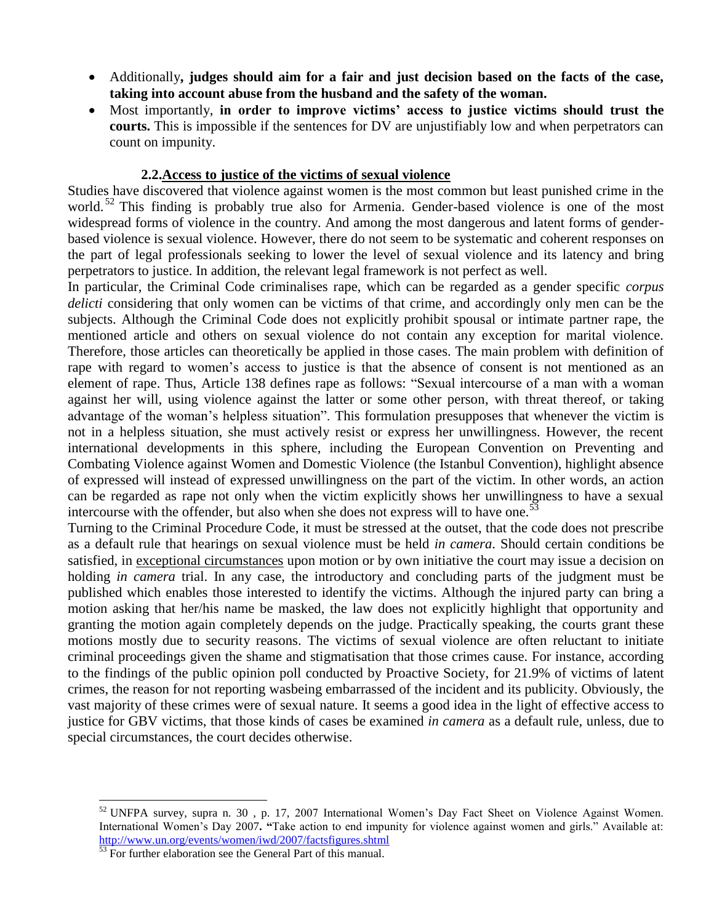- Additionally**, judges should aim for a fair and just decision based on the facts of the case, taking into account abuse from the husband and the safety of the woman.**
- Most importantly, **in order to improve victims' access to justice victims should trust the courts.** This is impossible if the sentences for DV are unjustifiably low and when perpetrators can count on impunity.

#### **2.2.Access to justice of the victims of sexual violence**

Studies have discovered that violence against women is the most common but least punished crime in the world.<sup>52</sup> This finding is probably true also for Armenia. Gender-based violence is one of the most widespread forms of violence in the country. And among the most dangerous and latent forms of genderbased violence is sexual violence. However, there do not seem to be systematic and coherent responses on the part of legal professionals seeking to lower the level of sexual violence and its latency and bring perpetrators to justice. In addition, the relevant legal framework is not perfect as well.

In particular, the Criminal Code criminalises rape, which can be regarded as a gender specific *corpus delicti* considering that only women can be victims of that crime, and accordingly only men can be the subjects. Although the Criminal Code does not explicitly prohibit spousal or intimate partner rape, the mentioned article and others on sexual violence do not contain any exception for marital violence. Therefore, those articles can theoretically be applied in those cases. The main problem with definition of rape with regard to women's access to justice is that the absence of consent is not mentioned as an element of rape. Thus, Article 138 defines rape as follows: "Sexual intercourse of a man with a woman against her will, using violence against the latter or some other person, with threat thereof, or taking advantage of the woman's helpless situation". This formulation presupposes that whenever the victim is not in a helpless situation, she must actively resist or express her unwillingness. However, the recent international developments in this sphere, including the European Convention on Preventing and Combating Violence against Women and Domestic Violence (the Istanbul Convention), highlight absence of expressed will instead of expressed unwillingness on the part of the victim. In other words, an action can be regarded as rape not only when the victim explicitly shows her unwillingness to have a sexual intercourse with the offender, but also when she does not express will to have one.<sup>53</sup>

Turning to the Criminal Procedure Code, it must be stressed at the outset, that the code does not prescribe as a default rule that hearings on sexual violence must be held *in camera*. Should certain conditions be satisfied, in exceptional circumstances upon motion or by own initiative the court may issue a decision on holding *in camera* trial. In any case, the introductory and concluding parts of the judgment must be published which enables those interested to identify the victims. Although the injured party can bring a motion asking that her/his name be masked, the law does not explicitly highlight that opportunity and granting the motion again completely depends on the judge. Practically speaking, the courts grant these motions mostly due to security reasons. The victims of sexual violence are often reluctant to initiate criminal proceedings given the shame and stigmatisation that those crimes cause. For instance, according to the findings of the public opinion poll conducted by Proactive Society, for 21.9% of victims of latent crimes, the reason for not reporting wasbeing embarrassed of the incident and its publicity. Obviously, the vast majority of these crimes were of sexual nature. It seems a good idea in the light of effective access to justice for GBV victims, that those kinds of cases be examined *in camera* as a default rule, unless, due to special circumstances, the court decides otherwise.

<sup>&</sup>lt;sup>52</sup> UNFPA survey, supra n. 30, p. 17, 2007 International Women's Day Fact Sheet on Violence Against Women. International Women's Day 2007**. "**Take action to end impunity for violence against women and girls." Available at: <http://www.un.org/events/women/iwd/2007/factsfigures.shtml>

 $\frac{53}{53}$  For further elaboration see the General Part of this manual.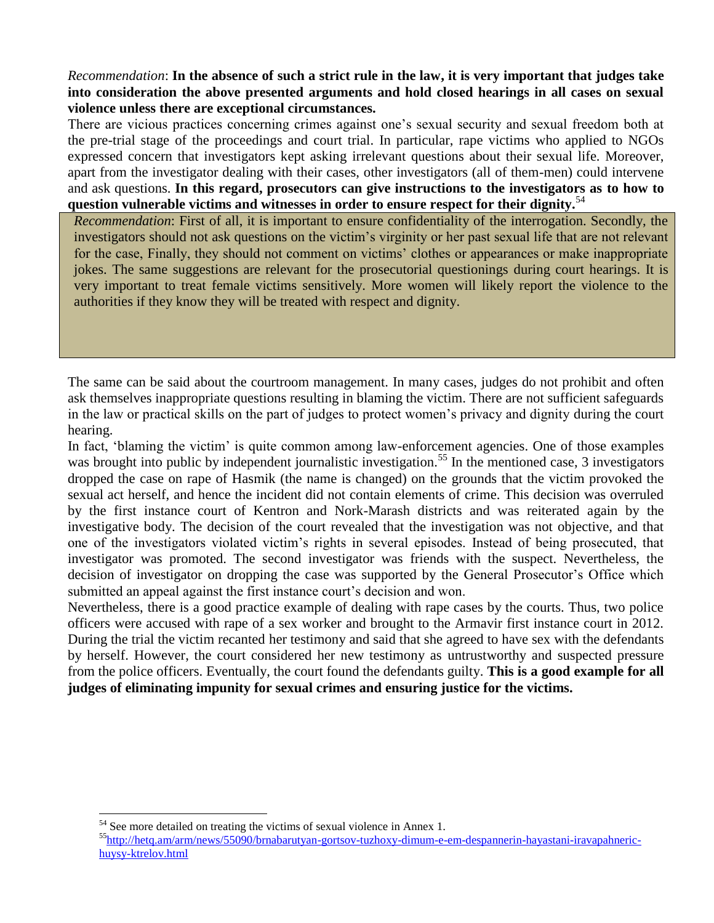*Recommendation*: **In the absence of such a strict rule in the law, it is very important that judges take into consideration the above presented arguments and hold closed hearings in all cases on sexual violence unless there are exceptional circumstances.**

There are vicious practices concerning crimes against one's sexual security and sexual freedom both at the pre-trial stage of the proceedings and court trial. In particular, rape victims who applied to NGOs expressed concern that investigators kept asking irrelevant questions about their sexual life. Moreover, apart from the investigator dealing with their cases, other investigators (all of them-men) could intervene and ask questions. **In this regard, prosecutors can give instructions to the investigators as to how to question vulnerable victims and witnesses in order to ensure respect for their dignity.**<sup>54</sup>

*Recommendation*: First of all, it is important to ensure confidentiality of the interrogation. Secondly, the investigators should not ask questions on the victim's virginity or her past sexual life that are not relevant for the case, Finally, they should not comment on victims' clothes or appearances or make inappropriate jokes. The same suggestions are relevant for the prosecutorial questionings during court hearings. It is very important to treat female victims sensitively. More women will likely report the violence to the authorities if they know they will be treated with respect and dignity.

The same can be said about the courtroom management. In many cases, judges do not prohibit and often ask themselves inappropriate questions resulting in blaming the victim. There are not sufficient safeguards in the law or practical skills on the part of judges to protect women's privacy and dignity during the court hearing.

In fact, 'blaming the victim' is quite common among law-enforcement agencies. One of those examples was brought into public by independent journalistic investigation.<sup>55</sup> In the mentioned case, 3 investigators dropped the case on rape of Hasmik (the name is changed) on the grounds that the victim provoked the sexual act herself, and hence the incident did not contain elements of crime. This decision was overruled by the first instance court of Kentron and Nork-Marash districts and was reiterated again by the investigative body. The decision of the court revealed that the investigation was not objective, and that one of the investigators violated victim's rights in several episodes. Instead of being prosecuted, that investigator was promoted. The second investigator was friends with the suspect. Nevertheless, the decision of investigator on dropping the case was supported by the General Prosecutor's Office which submitted an appeal against the first instance court's decision and won.

Nevertheless, there is a good practice example of dealing with rape cases by the courts. Thus, two police officers were accused with rape of a sex worker and brought to the Armavir first instance court in 2012. During the trial the victim recanted her testimony and said that she agreed to have sex with the defendants by herself. However, the court considered her new testimony as untrustworthy and suspected pressure from the police officers. Eventually, the court found the defendants guilty. **This is a good example for all judges of eliminating impunity for sexual crimes and ensuring justice for the victims.**

<sup>&</sup>lt;sup>54</sup> See more detailed on treating the victims of sexual violence in Annex 1.

<sup>55</sup>[http://hetq.am/arm/news/55090/brnabarutyan-gortsov-tuzhoxy-dimum-e-em-despannerin-hayastani-iravapahneric](http://hetq.am/arm/news/55090/brnabarutyan-gortsov-tuzhoxy-dimum-e-em-despannerin-hayastani-iravapahneric-huysy-ktrelov.html)[huysy-ktrelov.html](http://hetq.am/arm/news/55090/brnabarutyan-gortsov-tuzhoxy-dimum-e-em-despannerin-hayastani-iravapahneric-huysy-ktrelov.html)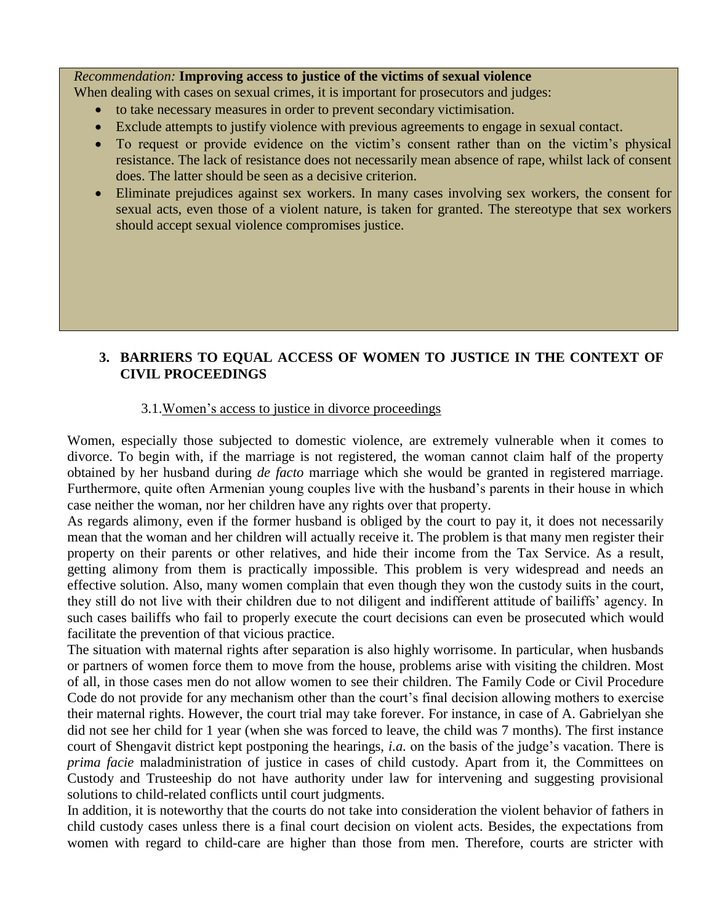#### *Recommendation:* **Improving access to justice of the victims of sexual violence**

When dealing with cases on sexual crimes, it is important for prosecutors and judges:

- to take necessary measures in order to prevent secondary victimisation.
- Exclude attempts to justify violence with previous agreements to engage in sexual contact.
- To request or provide evidence on the victim's consent rather than on the victim's physical resistance. The lack of resistance does not necessarily mean absence of rape, whilst lack of consent does. The latter should be seen as a decisive criterion.
- Eliminate prejudices against sex workers. In many cases involving sex workers, the consent for sexual acts, even those of a violent nature, is taken for granted. The stereotype that sex workers should accept sexual violence compromises justice.

#### **3. BARRIERS TO EQUAL ACCESS OF WOMEN TO JUSTICE IN THE CONTEXT OF CIVIL PROCEEDINGS**

#### 3.1.Women's access to justice in divorce proceedings

Women, especially those subjected to domestic violence, are extremely vulnerable when it comes to divorce. To begin with, if the marriage is not registered, the woman cannot claim half of the property obtained by her husband during *de facto* marriage which she would be granted in registered marriage. Furthermore, quite often Armenian young couples live with the husband's parents in their house in which case neither the woman, nor her children have any rights over that property.

As regards alimony, even if the former husband is obliged by the court to pay it, it does not necessarily mean that the woman and her children will actually receive it. The problem is that many men register their property on their parents or other relatives, and hide their income from the Tax Service. As a result, getting alimony from them is practically impossible. This problem is very widespread and needs an effective solution. Also, many women complain that even though they won the custody suits in the court, they still do not live with their children due to not diligent and indifferent attitude of bailiffs' agency. In such cases bailiffs who fail to properly execute the court decisions can even be prosecuted which would facilitate the prevention of that vicious practice.

The situation with maternal rights after separation is also highly worrisome. In particular, when husbands or partners of women force them to move from the house, problems arise with visiting the children. Most of all, in those cases men do not allow women to see their children. The Family Code or Civil Procedure Code do not provide for any mechanism other than the court's final decision allowing mothers to exercise their maternal rights. However, the court trial may take forever. For instance, in case of A. Gabrielyan she did not see her child for 1 year (when she was forced to leave, the child was 7 months). The first instance court of Shengavit district kept postponing the hearings, *i.a.* on the basis of the judge's vacation. There is *prima facie* maladministration of justice in cases of child custody. Apart from it, the Committees on Custody and Trusteeship do not have authority under law for intervening and suggesting provisional solutions to child-related conflicts until court judgments.

In addition, it is noteworthy that the courts do not take into consideration the violent behavior of fathers in child custody cases unless there is a final court decision on violent acts. Besides, the expectations from women with regard to child-care are higher than those from men. Therefore, courts are stricter with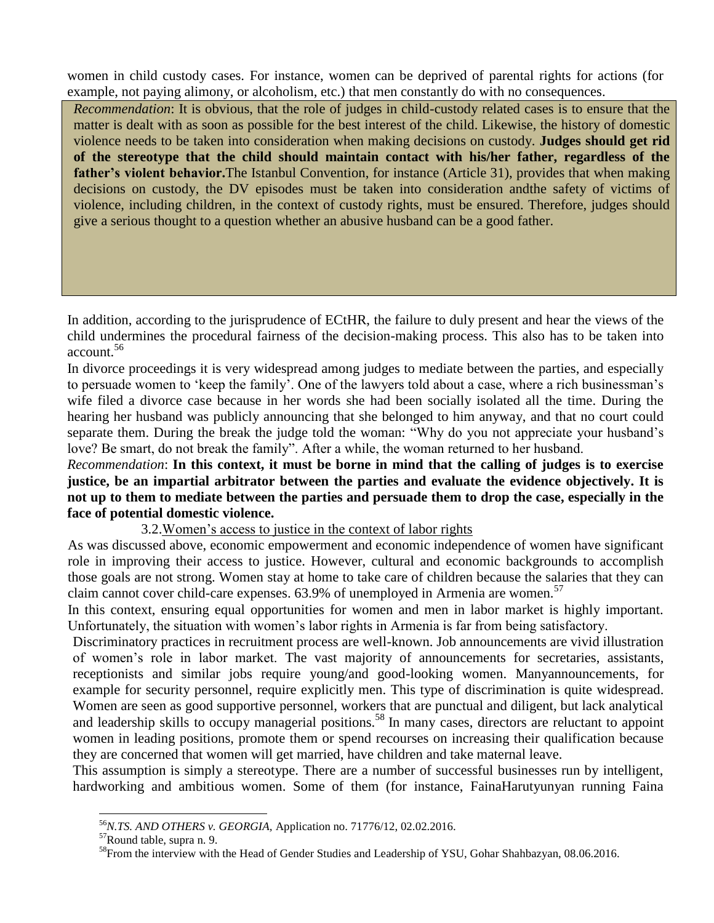women in child custody cases. For instance, women can be deprived of parental rights for actions (for example, not paying alimony, or alcoholism, etc.) that men constantly do with no consequences.

*Recommendation*: It is obvious, that the role of judges in child-custody related cases is to ensure that the matter is dealt with as soon as possible for the best interest of the child. Likewise, the history of domestic violence needs to be taken into consideration when making decisions on custody. **Judges should get rid of the stereotype that the child should maintain contact with his/her father, regardless of the father's violent behavior.**The Istanbul Convention, for instance (Article 31), provides that when making decisions on custody, the DV episodes must be taken into consideration andthe safety of victims of violence, including children, in the context of custody rights, must be ensured. Therefore, judges should give a serious thought to a question whether an abusive husband can be a good father.

In addition, according to the jurisprudence of ECtHR, the failure to duly present and hear the views of the child undermines the procedural fairness of the decision-making process. This also has to be taken into account.<sup>56</sup>

In divorce proceedings it is very widespread among judges to mediate between the parties, and especially to persuade women to 'keep the family'. One of the lawyers told about a case, where a rich businessman's wife filed a divorce case because in her words she had been socially isolated all the time. During the hearing her husband was publicly announcing that she belonged to him anyway, and that no court could separate them. During the break the judge told the woman: "Why do you not appreciate your husband's love? Be smart, do not break the family". After a while, the woman returned to her husband.

*Recommendation*: **In this context, it must be borne in mind that the calling of judges is to exercise justice, be an impartial arbitrator between the parties and evaluate the evidence objectively. It is not up to them to mediate between the parties and persuade them to drop the case, especially in the face of potential domestic violence.**

#### 3.2.Women's access to justice in the context of labor rights

As was discussed above, economic empowerment and economic independence of women have significant role in improving their access to justice. However, cultural and economic backgrounds to accomplish those goals are not strong. Women stay at home to take care of children because the salaries that they can claim cannot cover child-care expenses. 63.9% of unemployed in Armenia are women.<sup>57</sup>

In this context, ensuring equal opportunities for women and men in labor market is highly important. Unfortunately, the situation with women's labor rights in Armenia is far from being satisfactory.

Discriminatory practices in recruitment process are well-known. Job announcements are vivid illustration of women's role in labor market. The vast majority of announcements for secretaries, assistants, receptionists and similar jobs require young/and good-looking women. Manyannouncements, for example for security personnel, require explicitly men. This type of discrimination is quite widespread. Women are seen as good supportive personnel, workers that are punctual and diligent, but lack analytical and leadership skills to occupy managerial positions.<sup>58</sup> In many cases, directors are reluctant to appoint women in leading positions, promote them or spend recourses on increasing their qualification because they are concerned that women will get married, have children and take maternal leave.

This assumption is simply a stereotype. There are a number of successful businesses run by intelligent, hardworking and ambitious women. Some of them (for instance, FainaHarutyunyan running Faina

<sup>56</sup>*N.TS. AND OTHERS v. GEORGIA,* Application no. 71776/12, 02.02.2016.

<sup>57</sup>Round table, supra n. 9.

<sup>&</sup>lt;sup>58</sup>From the interview with the Head of Gender Studies and Leadership of YSU, Gohar Shahbazyan, 08.06.2016.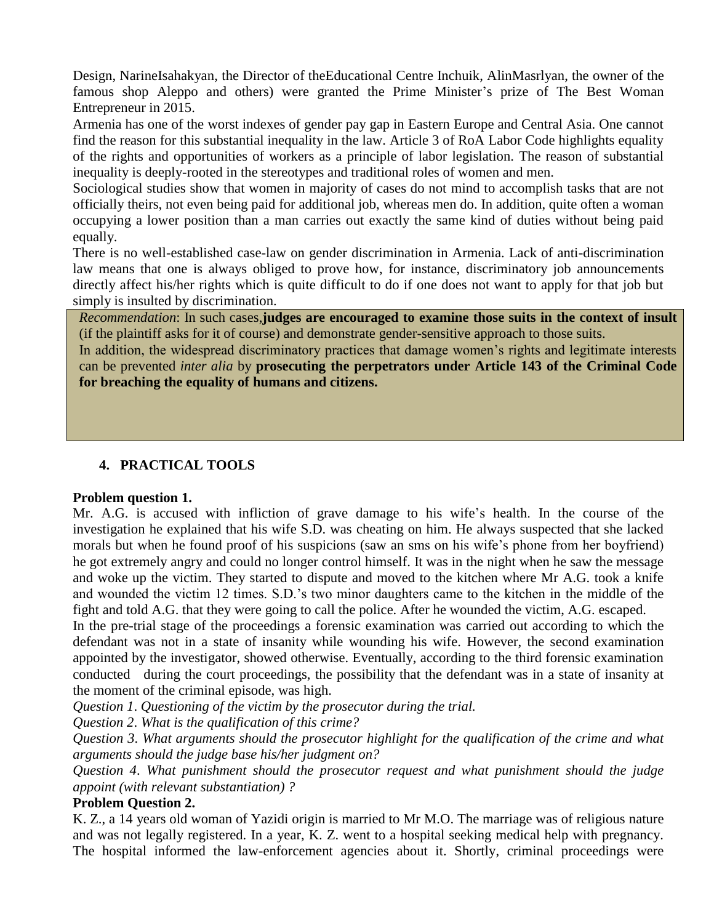Design, NarineIsahakyan, the Director of theEducational Centre Inchuik, AlinMasrlyan, the owner of the famous shop Aleppo and others) were granted the Prime Minister's prize of The Best Woman Entrepreneur in 2015.

Armenia has one of the worst indexes of gender pay gap in Eastern Europe and Central Asia. One cannot find the reason for this substantial inequality in the law. Article 3 of RoA Labor Code highlights equality of the rights and opportunities of workers as a principle of labor legislation. The reason of substantial inequality is deeply-rooted in the stereotypes and traditional roles of women and men.

Sociological studies show that women in majority of cases do not mind to accomplish tasks that are not officially theirs, not even being paid for additional job, whereas men do. In addition, quite often a woman occupying a lower position than a man carries out exactly the same kind of duties without being paid equally.

There is no well-established case-law on gender discrimination in Armenia. Lack of anti-discrimination law means that one is always obliged to prove how, for instance, discriminatory job announcements directly affect his/her rights which is quite difficult to do if one does not want to apply for that job but simply is insulted by discrimination.

*Recommendation*: In such cases,**judges are encouraged to examine those suits in the context of insult** (if the plaintiff asks for it of course) and demonstrate gender-sensitive approach to those suits.

In addition, the widespread discriminatory practices that damage women's rights and legitimate interests can be prevented *inter alia* by **prosecuting the perpetrators under Article 143 of the Criminal Code for breaching the equality of humans and citizens.**

### **4. PRACTICAL TOOLS**

#### **Problem question 1.**

Mr. A.G. is accused with infliction of grave damage to his wife's health. In the course of the investigation he explained that his wife S.D. was cheating on him. He always suspected that she lacked morals but when he found proof of his suspicions (saw an sms on his wife's phone from her boyfriend) he got extremely angry and could no longer control himself. It was in the night when he saw the message and woke up the victim. They started to dispute and moved to the kitchen where Mr A.G. took a knife and wounded the victim 12 times. S.D.'s two minor daughters came to the kitchen in the middle of the fight and told A.G. that they were going to call the police. After he wounded the victim, A.G. escaped.

In the pre-trial stage of the proceedings a forensic examination was carried out according to which the defendant was not in a state of insanity while wounding his wife. However, the second examination appointed by the investigator, showed otherwise. Eventually, according to the third forensic examination conducted during the court proceedings, the possibility that the defendant was in a state of insanity at the moment of the criminal episode, was high.

*Question 1*. *Questioning of the victim by the prosecutor during the trial.*

*Question 2*. *What is the qualification of this crime?*

*Question 3*. *What arguments should the prosecutor highlight for the qualification of the crime and what arguments should the judge base his/her judgment on?*

*Question 4*. *What punishment should the prosecutor request and what punishment should the judge appoint (with relevant substantiation) ?*

#### **Problem Question 2.**

K. Z., a 14 years old woman of Yazidi origin is married to Mr M.O. The marriage was of religious nature and was not legally registered. In a year, K. Z. went to a hospital seeking medical help with pregnancy. The hospital informed the law-enforcement agencies about it. Shortly, criminal proceedings were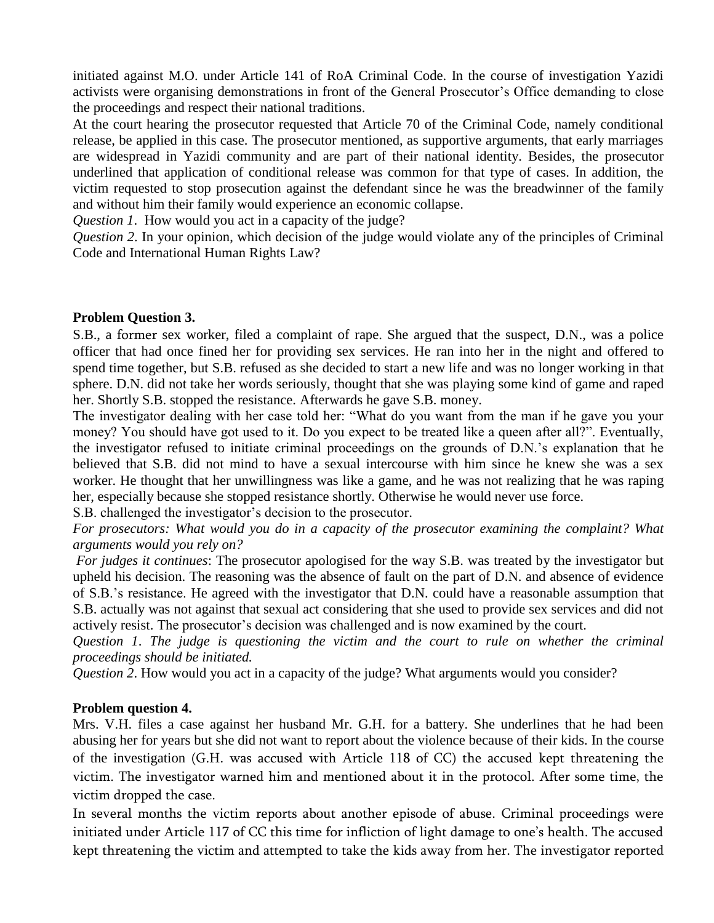initiated against M.O. under Article 141 of RoA Criminal Code. In the course of investigation Yazidi activists were organising demonstrations in front of the General Prosecutor's Office demanding to close the proceedings and respect their national traditions.

At the court hearing the prosecutor requested that Article 70 of the Criminal Code, namely conditional release, be applied in this case. The prosecutor mentioned, as supportive arguments, that early marriages are widespread in Yazidi community and are part of their national identity. Besides, the prosecutor underlined that application of conditional release was common for that type of cases. In addition, the victim requested to stop prosecution against the defendant since he was the breadwinner of the family and without him their family would experience an economic collapse.

*Question 1*. How would you act in a capacity of the judge?

*Question 2*. In your opinion, which decision of the judge would violate any of the principles of Criminal Code and International Human Rights Law?

#### **Problem Question 3.**

S.B., a former sex worker, filed a complaint of rape. She argued that the suspect, D.N., was a police officer that had once fined her for providing sex services. He ran into her in the night and offered to spend time together, but S.B. refused as she decided to start a new life and was no longer working in that sphere. D.N. did not take her words seriously, thought that she was playing some kind of game and raped her. Shortly S.B. stopped the resistance. Afterwards he gave S.B. money.

The investigator dealing with her case told her: "What do you want from the man if he gave you your money? You should have got used to it. Do you expect to be treated like a queen after all?". Eventually, the investigator refused to initiate criminal proceedings on the grounds of D.N.'s explanation that he believed that S.B. did not mind to have a sexual intercourse with him since he knew she was a sex worker. He thought that her unwillingness was like a game, and he was not realizing that he was raping her, especially because she stopped resistance shortly. Otherwise he would never use force.

S.B. challenged the investigator's decision to the prosecutor.

*For prosecutors: What would you do in a capacity of the prosecutor examining the complaint? What arguments would you rely on?*

*For judges it continues*: The prosecutor apologised for the way S.B. was treated by the investigator but upheld his decision. The reasoning was the absence of fault on the part of D.N. and absence of evidence of S.B.'s resistance. He agreed with the investigator that D.N. could have a reasonable assumption that S.B. actually was not against that sexual act considering that she used to provide sex services and did not actively resist. The prosecutor's decision was challenged and is now examined by the court.

*Question 1*. *The judge is questioning the victim and the court to rule on whether the criminal proceedings should be initiated.*

*Question 2*. How would you act in a capacity of the judge? What arguments would you consider?

#### **Problem question 4.**

Mrs. V.H. files a case against her husband Mr. G.H. for a battery. She underlines that he had been abusing her for years but she did not want to report about the violence because of their kids. In the course of the investigation (G.H. was accused with Article 118 of CC) the accused kept threatening the victim. The investigator warned him and mentioned about it in the protocol. After some time, the victim dropped the case.

In several months the victim reports about another episode of abuse. Criminal proceedings were initiated under Article 117 of CC this time for infliction of light damage to one's health. The accused kept threatening the victim and attempted to take the kids away from her. The investigator reported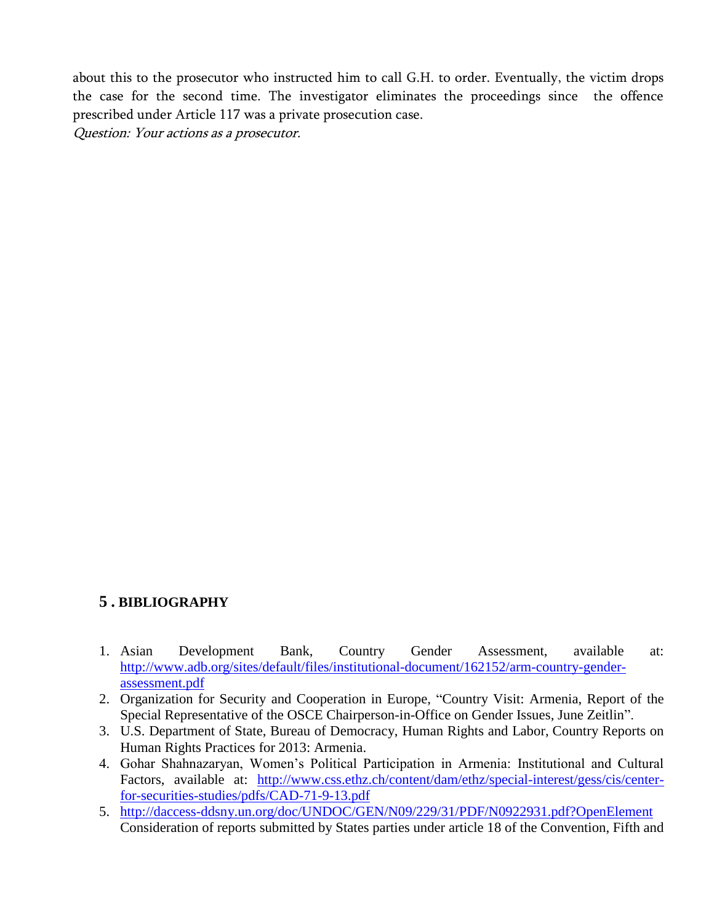about this to the prosecutor who instructed him to call G.H. to order. Eventually, the victim drops the case for the second time. The investigator eliminates the proceedings since the offence prescribed under Article 117 was a private prosecution case. Question: Your actions as a prosecutor.

## **5 . BIBLIOGRAPHY**

- 1. Asian Development Bank, Country Gender Assessment, available at: [http://www.adb.org/sites/default/files/institutional-document/162152/arm-country-gender](http://www.adb.org/sites/default/files/institutional-document/162152/arm-country-gender-assessment.pdf)[assessment.pdf](http://www.adb.org/sites/default/files/institutional-document/162152/arm-country-gender-assessment.pdf)
- 2. Organization for Security and Cooperation in Europe, ["Country Visit: Armenia, Report of the](http://www.osce.org/cio/110334?download=true)  [Special Representative of the OSCE Chairperson-in-Office on Gender Issues, June Zeitlin"](http://www.osce.org/cio/110334?download=true).
- 3. U.S. Department of State, Bureau of Democracy, Human Rights and Labor, [Country Reports on](http://www.state.gov/documents/organization/220461.pdf)  [Human Rights Practices for 2013: Armenia.](http://www.state.gov/documents/organization/220461.pdf)
- 4. Gohar Shahnazaryan, Women's Political Participation in Armenia: Institutional and Cultural Factors, available at: [http://www.css.ethz.ch/content/dam/ethz/special-interest/gess/cis/center](http://www.css.ethz.ch/content/dam/ethz/special-interest/gess/cis/center-for-securities-studies/pdfs/CAD-71-9-13.pdf)[for-securities-studies/pdfs/CAD-71-9-13.pdf](http://www.css.ethz.ch/content/dam/ethz/special-interest/gess/cis/center-for-securities-studies/pdfs/CAD-71-9-13.pdf)
- 5. <http://daccess-ddsny.un.org/doc/UNDOC/GEN/N09/229/31/PDF/N0922931.pdf?OpenElement> Consideration of reports submitted by States parties under article 18 of the Convention, Fifth and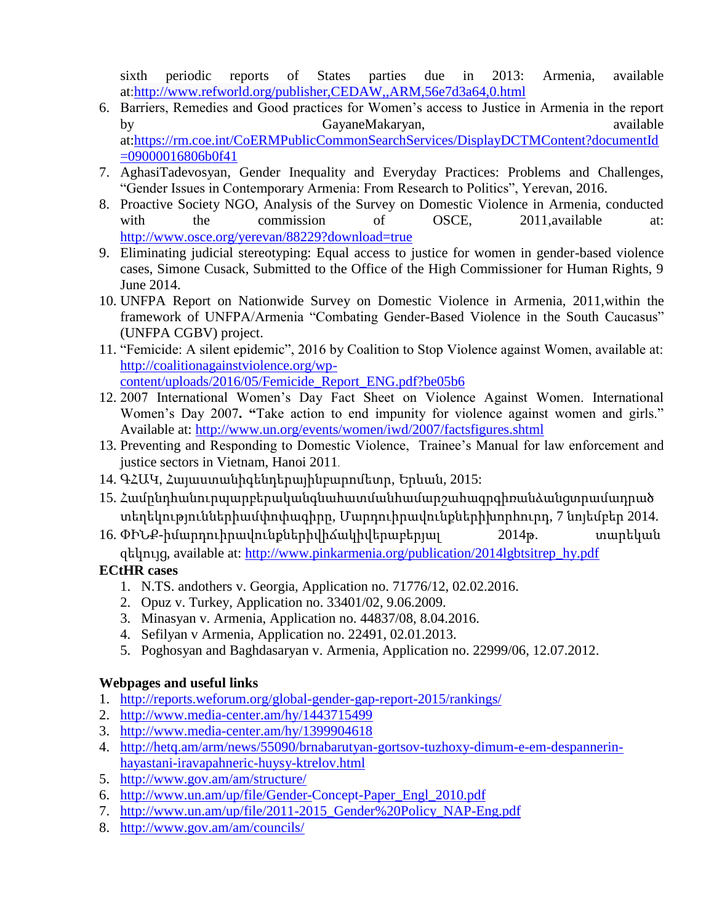sixth periodic reports of States parties due in 2013: Armenia, available at[:http://www.refworld.org/publisher,CEDAW,,ARM,56e7d3a64,0.html](http://www.refworld.org/publisher,CEDAW,,ARM,56e7d3a64,0.html)

- 6. Barriers, Remedies and Good practices for Women's access to Justice in Armenia in the report by GayaneMakaryan, and available by GayaneMakaryan, at[:https://rm.coe.int/CoERMPublicCommonSearchServices/DisplayDCTMContent?documentId](https://rm.coe.int/CoERMPublicCommonSearchServices/DisplayDCTMContent?documentId=09000016806b0f41) [=09000016806b0f41](https://rm.coe.int/CoERMPublicCommonSearchServices/DisplayDCTMContent?documentId=09000016806b0f41)
- 7. AghasiTadevosyan, Gender Inequality and Everyday Practices: Problems and Challenges, "Gender Issues in Contemporary Armenia: From Research to Politics", Yerevan, 2016.
- 8. Proactive Society NGO, Analysis of the Survey on Domestic Violence in Armenia, conducted with the commission of OSCE, 2011, available at: <http://www.osce.org/yerevan/88229?download=true>
- 9. Eliminating judicial stereotyping: Equal access to justice for women in gender-based violence cases, Simone Cusack, Submitted to the Office of the High Commissioner for Human Rights, 9 June 2014.
- 10. UNFPA Report on Nationwide Survey on Domestic Violence in Armenia, 2011,within the framework of UNFPA/Armenia "Combating Gender-Based Violence in the South Caucasus" (UNFPA CGBV) project.
- 11. "Femicide: A silent epidemic", 2016 by Coalition to Stop Violence against Women, available at: [http://coalitionagainstviolence.org/wp](http://coalitionagainstviolence.org/wp-content/uploads/2016/05/Femicide_Report_ENG.pdf?be05b6)[content/uploads/2016/05/Femicide\\_Report\\_ENG.pdf?be05b6](http://coalitionagainstviolence.org/wp-content/uploads/2016/05/Femicide_Report_ENG.pdf?be05b6)
- 12. 2007 International Women's Day Fact Sheet on Violence Against Women. International Women's Day 2007**. "**Take action to end impunity for violence against women and girls." Available at:<http://www.un.org/events/women/iwd/2007/factsfigures.shtml>
- 13. Preventing and Responding to Domestic Violence, Trainee's Manual for law enforcement and justice sectors in Vietnam, Hanoi 2011.
- 14. ԳՀԱԿ, Հայաստանիգենդերայինբարոմետր, Երևան, 2015:
- 15. Համընդհանուրպարբերականգնահատմանհամարշահագրգիռանձանցտրամադրած տեղեկություններիամփոփագիրը, Մարդուիրավունքներիխորհուրդ, 7 նոյեմբեր 2014.
- 16. ՓԻՆՔ-իմարդուիրավունքներիվիճակիվերաբերյալ 2014թ. տարեկան զեկույց, available at: [http://www.pinkarmenia.org/publication/2014lgbtsitrep\\_hy.pdf](http://www.pinkarmenia.org/publication/2014lgbtsitrep_hy.pdf)

## **ECtHR cases**

- 1. N.TS. andothers v. Georgia*,* Application no. 71776/12, 02.02.2016.
- 2. Opuz v. Turkey, Application no. 33401/02, 9.06.2009.
- 3. Minasyan v. Armenia, Application no. 44837/08, 8.04.2016.
- 4. Sefilyan v Armenia, Application no. 22491, 02.01.2013.
- 5. Poghosyan and Baghdasaryan v. Armenia, Application no. 22999/06, 12.07.2012.

## **Webpages and useful links**

- 1. <http://reports.weforum.org/global-gender-gap-report-2015/rankings/>
- 2. <http://www.media-center.am/hy/1443715499>
- 3. <http://www.media-center.am/hy/1399904618>
- 4. [http://hetq.am/arm/news/55090/brnabarutyan-gortsov-tuzhoxy-dimum-e-em-despannerin](http://hetq.am/arm/news/55090/brnabarutyan-gortsov-tuzhoxy-dimum-e-em-despannerin-hayastani-iravapahneric-huysy-ktrelov.html)[hayastani-iravapahneric-huysy-ktrelov.html](http://hetq.am/arm/news/55090/brnabarutyan-gortsov-tuzhoxy-dimum-e-em-despannerin-hayastani-iravapahneric-huysy-ktrelov.html)
- 5. <http://www.gov.am/am/structure/>
- 6. [http://www.un.am/up/file/Gender-Concept-Paper\\_Engl\\_2010.pdf](http://www.un.am/up/file/Gender-Concept-Paper_Engl_2010.pdf)
- 7. [http://www.un.am/up/file/2011-2015\\_Gender%20Policy\\_NAP-Eng.pdf](http://www.un.am/up/file/2011-2015_Gender%20Policy_NAP-Eng.pdf)
- 8. <http://www.gov.am/am/councils/>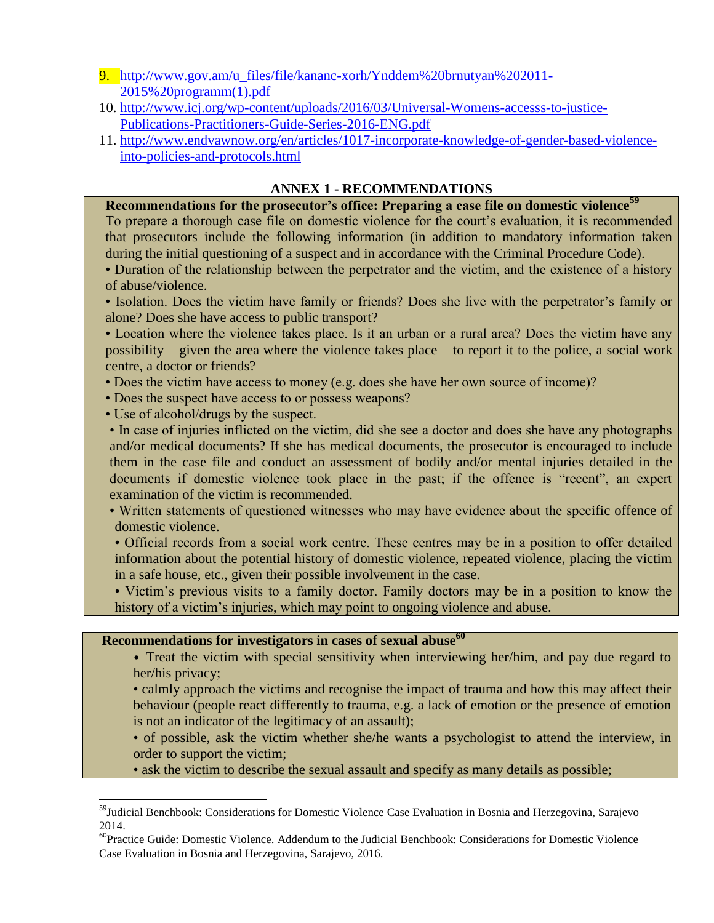- 9. [http://www.gov.am/u\\_files/file/kananc-xorh/Ynddem%20brnutyan%202011-](http://www.gov.am/u_files/file/kananc-xorh/Ynddem%20brnutyan%202011-2015%20programm(1).pdf) [2015%20programm\(1\).pdf](http://www.gov.am/u_files/file/kananc-xorh/Ynddem%20brnutyan%202011-2015%20programm(1).pdf)
- 10. [http://www.icj.org/wp-content/uploads/2016/03/Universal-Womens-accesss-to-justice-](http://www.icj.org/wp-content/uploads/2016/03/Universal-Womens-accesss-to-justice-Publications-Practitioners-Guide-Series-2016-ENG.pdf)[Publications-Practitioners-Guide-Series-2016-ENG.pdf](http://www.icj.org/wp-content/uploads/2016/03/Universal-Womens-accesss-to-justice-Publications-Practitioners-Guide-Series-2016-ENG.pdf)
- 11. [http://www.endvawnow.org/en/articles/1017-incorporate-knowledge-of-gender-based-violence](http://www.endvawnow.org/en/articles/1017-incorporate-knowledge-of-gender-based-violence-into-policies-and-protocols.html)[into-policies-and-protocols.html](http://www.endvawnow.org/en/articles/1017-incorporate-knowledge-of-gender-based-violence-into-policies-and-protocols.html)

#### **ANNEX 1 - RECOMMENDATIONS**

**Recommendations for the prosecutor's office: Preparing a case file on domestic violence<sup>59</sup>**

To prepare a thorough case file on domestic violence for the court's evaluation, it is recommended that prosecutors include the following information (in addition to mandatory information taken during the initial questioning of a suspect and in accordance with the Criminal Procedure Code).

- Duration of the relationship between the perpetrator and the victim, and the existence of a history of abuse/violence.
- Isolation. Does the victim have family or friends? Does she live with the perpetrator's family or alone? Does she have access to public transport?

• Location where the violence takes place. Is it an urban or a rural area? Does the victim have any possibility – given the area where the violence takes place – to report it to the police, a social work centre, a doctor or friends?

- Does the victim have access to money (e.g. does she have her own source of income)?
- Does the suspect have access to or possess weapons?
- Use of alcohol/drugs by the suspect.

 $\overline{a}$ 

• In case of injuries inflicted on the victim, did she see a doctor and does she have any photographs and/or medical documents? If she has medical documents, the prosecutor is encouraged to include them in the case file and conduct an assessment of bodily and/or mental injuries detailed in the documents if domestic violence took place in the past; if the offence is "recent", an expert examination of the victim is recommended.

• Written statements of questioned witnesses who may have evidence about the specific offence of domestic violence.

• Official records from a social work centre. These centres may be in a position to offer detailed information about the potential history of domestic violence, repeated violence, placing the victim in a safe house, etc., given their possible involvement in the case.

• Victim's previous visits to a family doctor. Family doctors may be in a position to know the history of a victim's injuries, which may point to ongoing violence and abuse.

#### **Recommendations for investigators in cases of sexual abuse<sup>60</sup>**

• Treat the victim with special sensitivity when interviewing her/him, and pay due regard to her/his privacy;

• calmly approach the victims and recognise the impact of trauma and how this may affect their behaviour (people react differently to trauma, e.g. a lack of emotion or the presence of emotion is not an indicator of the legitimacy of an assault);

• of possible, ask the victim whether she/he wants a psychologist to attend the interview, in order to support the victim;

• ask the victim to describe the sexual assault and specify as many details as possible;

<sup>59</sup>Judicial Benchbook: Considerations for Domestic Violence Case Evaluation in Bosnia and Herzegovina, Sarajevo 2014.

<sup>&</sup>lt;sup>60</sup>Practice Guide: Domestic Violence. Addendum to the Judicial Benchbook: Considerations for Domestic Violence Case Evaluation in Bosnia and Herzegovina, Sarajevo, 2016.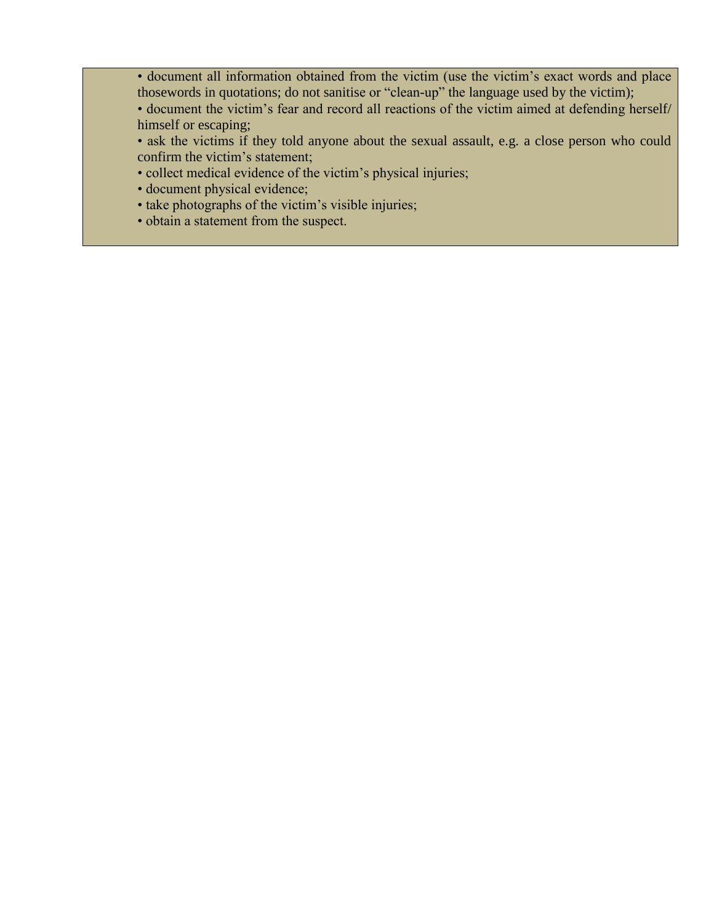• document all information obtained from the victim (use the victim's exact words and place thosewords in quotations; do not sanitise or "clean-up" the language used by the victim);

• document the victim's fear and record all reactions of the victim aimed at defending herself/ himself or escaping;

• ask the victims if they told anyone about the sexual assault, e.g. a close person who could confirm the victim's statement;

- collect medical evidence of the victim's physical injuries;
- document physical evidence;
- take photographs of the victim's visible injuries;
- obtain a statement from the suspect.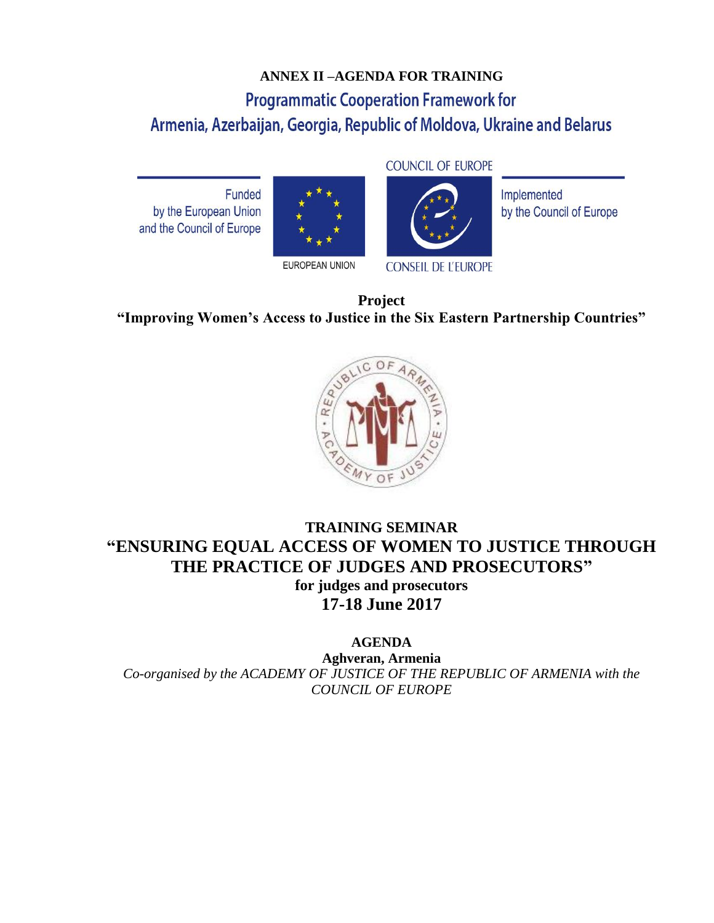# **ANNEX II –AGENDA FOR TRAINING Programmatic Cooperation Framework for** Armenia, Azerbaijan, Georgia, Republic of Moldova, Ukraine and Belarus

Funded by the European Union and the Council of Europe





**CONSEIL DE L'EUROPE** 

Implemented by the Council of Europe

**Project "Improving Women's Access to Justice in the Six Eastern Partnership Countries"**



## **TRAINING SEMINAR "ENSURING EQUAL ACCESS OF WOMEN TO JUSTICE THROUGH THE PRACTICE OF JUDGES AND PROSECUTORS" for judges and prosecutors 17-18 June 2017**

**AGENDA**

**Aghveran, Armenia** *Co-organised by the ACADEMY OF JUSTICE OF THE REPUBLIC OF ARMENIA with the COUNCIL OF EUROPE*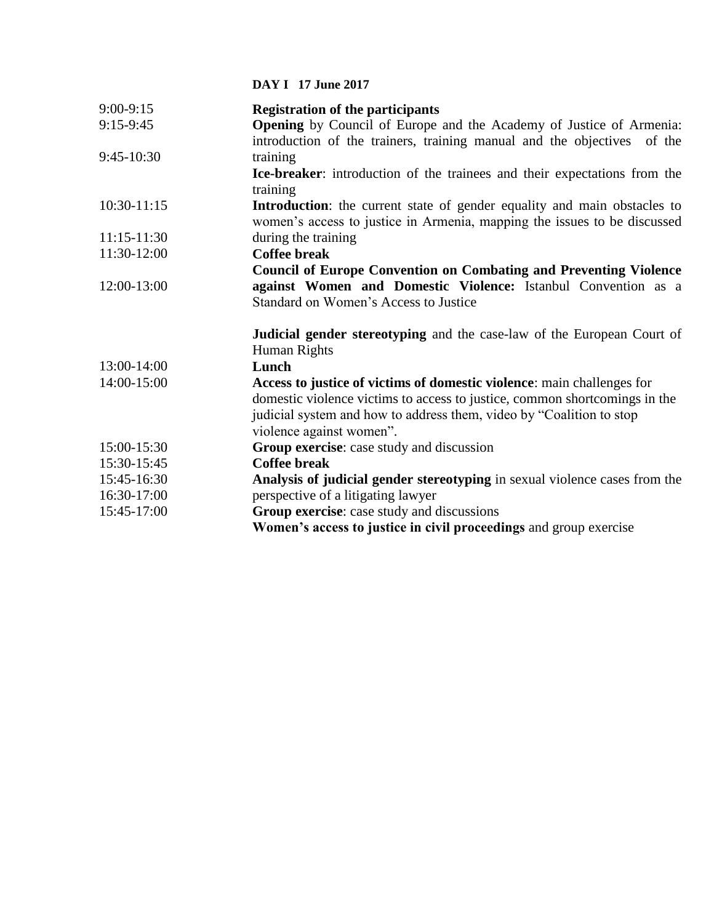**DAY I 17 June 2017**

| $9:00-9:15$   | <b>Registration of the participants</b>                                                                                                                                                                                                                  |
|---------------|----------------------------------------------------------------------------------------------------------------------------------------------------------------------------------------------------------------------------------------------------------|
| $9:15-9:45$   | <b>Opening</b> by Council of Europe and the Academy of Justice of Armenia:<br>introduction of the trainers, training manual and the objectives of the                                                                                                    |
| 9:45-10:30    | training                                                                                                                                                                                                                                                 |
|               | Ice-breaker: introduction of the trainees and their expectations from the<br>training                                                                                                                                                                    |
| $10:30-11:15$ | Introduction: the current state of gender equality and main obstacles to<br>women's access to justice in Armenia, mapping the issues to be discussed                                                                                                     |
| $11:15-11:30$ | during the training                                                                                                                                                                                                                                      |
| 11:30-12:00   | <b>Coffee break</b>                                                                                                                                                                                                                                      |
|               | <b>Council of Europe Convention on Combating and Preventing Violence</b>                                                                                                                                                                                 |
| 12:00-13:00   | against Women and Domestic Violence: Istanbul Convention as a                                                                                                                                                                                            |
|               | Standard on Women's Access to Justice                                                                                                                                                                                                                    |
|               | <b>Judicial gender stereotyping</b> and the case-law of the European Court of<br>Human Rights                                                                                                                                                            |
| 13:00-14:00   | Lunch                                                                                                                                                                                                                                                    |
| 14:00-15:00   | Access to justice of victims of domestic violence: main challenges for<br>domestic violence victims to access to justice, common shortcomings in the<br>judicial system and how to address them, video by "Coalition to stop<br>violence against women". |
| 15:00-15:30   | Group exercise: case study and discussion                                                                                                                                                                                                                |
| 15:30-15:45   | <b>Coffee break</b>                                                                                                                                                                                                                                      |
| 15:45-16:30   | Analysis of judicial gender stereotyping in sexual violence cases from the                                                                                                                                                                               |
| 16:30-17:00   | perspective of a litigating lawyer                                                                                                                                                                                                                       |
| 15:45-17:00   | Group exercise: case study and discussions                                                                                                                                                                                                               |
|               | Women's access to justice in civil proceedings and group exercise                                                                                                                                                                                        |